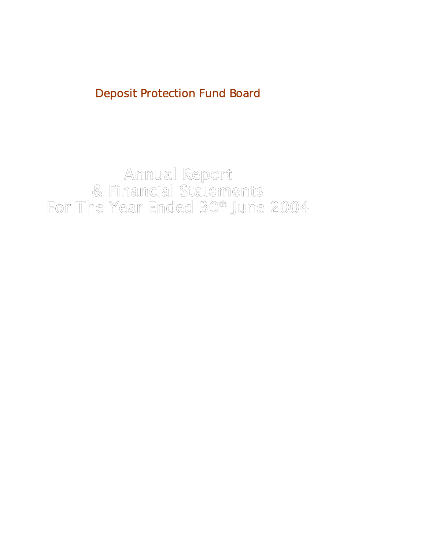Deposit Protection Fund Board

For The Year Ended 30th June 2004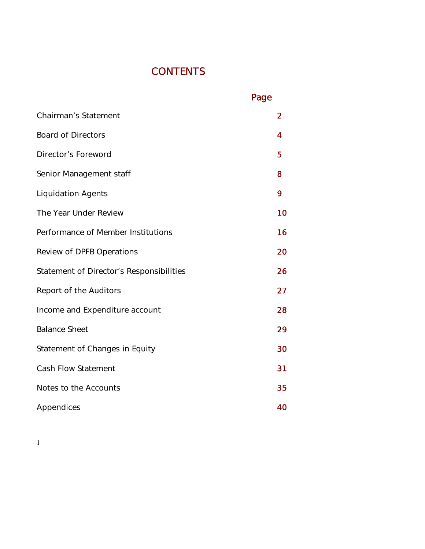# **CONTENTS**

|                                          | Page           |
|------------------------------------------|----------------|
| <b>Chairman's Statement</b>              | $\overline{2}$ |
| <b>Board of Directors</b>                | 4              |
| Director's Foreword                      | 5              |
| Senior Management staff                  | 8              |
| <b>Liquidation Agents</b>                | 9              |
| The Year Under Review                    | 10             |
| Performance of Member Institutions       | 16             |
| <b>Review of DPFB Operations</b>         | 20             |
| Statement of Director's Responsibilities | 26             |
| Report of the Auditors                   | 27             |
| Income and Expenditure account           | 28             |
| <b>Balance Sheet</b>                     | 29             |
| Statement of Changes in Equity           | 30             |
| <b>Cash Flow Statement</b>               | 31             |
| Notes to the Accounts                    | 35             |
| Appendices                               | 40             |

1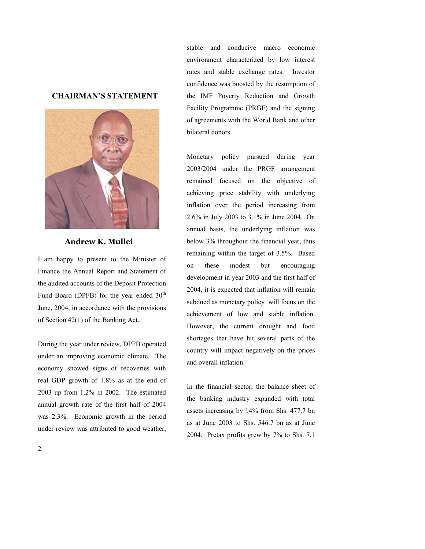## **CHAIRMAN'S STATEMENT**



**Andrew K. Mullei** 

I am happy to present to the Minister of Finance the Annual Report and Statement of the audited accounts of the Deposit Protection Fund Board (DPFB) for the year ended  $30<sup>th</sup>$ June, 2004, in accordance with the provisions of Section 42(1) of the Banking Act.

During the year under review, DPFB operated under an improving economic climate. The economy showed signs of recoveries with real GDP growth of 1.8% as at the end of 2003 up from 1.2% in 2002. The estimated annual growth rate of the first half of 2004 was 2.3%. Economic growth in the period under review was attributed to good weather,

stable and conducive macro economic environment characterized by low interest rates and stable exchange rates. Investor confidence was boosted by the resumption of the IMF Poverty Reduction and Growth Facility Programme (PRGF) and the signing of agreements with the World Bank and other bilateral donors.

Monetary policy pursued during year 2003/2004 under the PRGF arrangement remained focused on the objective of achieving price stability with underlying inflation over the period increasing from 2.6% in July 2003 to 3.1% in June 2004. On annual basis, the underlying inflation was below 3% throughout the financial year, thus remaining within the target of 3.5%. Based on these modest but encouraging development in year 2003 and the first half of 2004, it is expected that inflation will remain subdued as monetary policy will focus on the achievement of low and stable inflation. However, the current drought and food shortages that have hit several parts of the country will impact negatively on the prices and overall inflation.

In the financial sector, the balance sheet of the banking industry expanded with total assets increasing by 14% from Shs. 477.7 bn as at June 2003 to Shs. 546.7 bn as at June 2004. Pretax profits grew by 7% to Shs. 7.1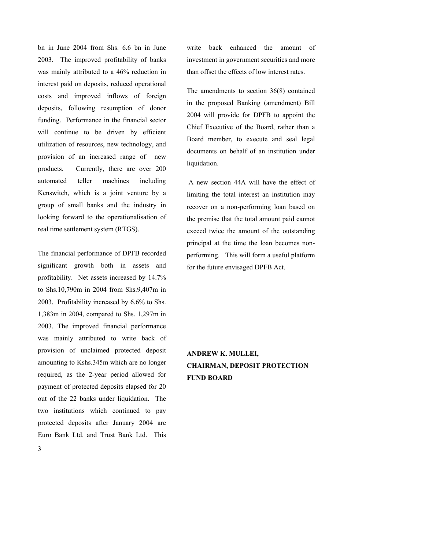bn in June 2004 from Shs. 6.6 bn in June 2003. The improved profitability of banks was mainly attributed to a 46% reduction in interest paid on deposits, reduced operational costs and improved inflows of foreign deposits, following resumption of donor funding. Performance in the financial sector will continue to be driven by efficient utilization of resources, new technology, and provision of an increased range of new products. Currently, there are over 200 automated teller machines including Kenswitch, which is a joint venture by a group of small banks and the industry in looking forward to the operationalisation of real time settlement system (RTGS).

3 The financial performance of DPFB recorded significant growth both in assets and profitability. Net assets increased by 14.7% to Shs.10,790m in 2004 from Shs.9,407m in 2003. Profitability increased by 6.6% to Shs. 1,383m in 2004, compared to Shs. 1,297m in 2003. The improved financial performance was mainly attributed to write back of provision of unclaimed protected deposit amounting to Kshs.345m which are no longer required, as the 2-year period allowed for payment of protected deposits elapsed for 20 out of the 22 banks under liquidation. The two institutions which continued to pay protected deposits after January 2004 are Euro Bank Ltd. and Trust Bank Ltd. This write back enhanced the amount of investment in government securities and more than offset the effects of low interest rates.

The amendments to section 36(8) contained in the proposed Banking (amendment) Bill 2004 will provide for DPFB to appoint the Chief Executive of the Board, rather than a Board member, to execute and seal legal documents on behalf of an institution under liquidation.

 A new section 44A will have the effect of limiting the total interest an institution may recover on a non-performing loan based on the premise that the total amount paid cannot exceed twice the amount of the outstanding principal at the time the loan becomes nonperforming. This will form a useful platform for the future envisaged DPFB Act.

**ANDREW K. MULLEI, CHAIRMAN, DEPOSIT PROTECTION FUND BOARD**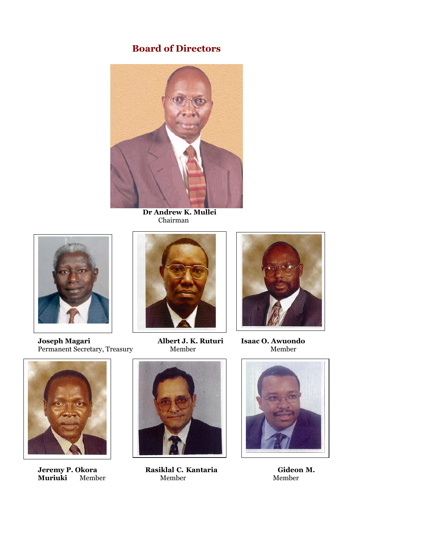# **Board of Directors**



 **Dr Andrew K. Mullei**  Chairman



**Joseph Magari Albert J. K. Ruturi Isaac O. Awuondo**<br>Permanent Secretary, Treasury Member Member Member Permanent Secretary, Treasury



**Jeremy P. Okora**<br>**Muriuki** Memb





**1988)**<br> **Jeremy P. Member Member Member Member Member Member Member Member Member** 



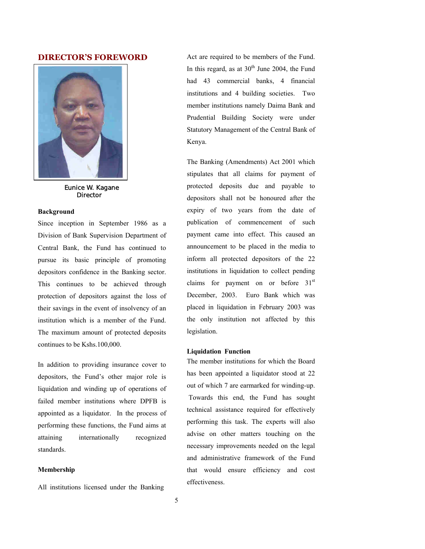## **DIRECTOR'S FOREWORD**



 Eunice W. Kagane **Director** 

#### **Background**

Since inception in September 1986 as a Division of Bank Supervision Department of Central Bank, the Fund has continued to pursue its basic principle of promoting depositors confidence in the Banking sector. This continues to be achieved through protection of depositors against the loss of their savings in the event of insolvency of an institution which is a member of the Fund. The maximum amount of protected deposits continues to be Kshs.100,000.

In addition to providing insurance cover to depositors, the Fund's other major role is liquidation and winding up of operations of failed member institutions where DPFB is appointed as a liquidator. In the process of performing these functions, the Fund aims at attaining internationally recognized standards.

#### **Membership**

All institutions licensed under the Banking

Act are required to be members of the Fund. In this regard, as at  $30<sup>th</sup>$  June 2004, the Fund had 43 commercial banks, 4 financial institutions and 4 building societies. Two member institutions namely Daima Bank and Prudential Building Society were under Statutory Management of the Central Bank of Kenya.

The Banking (Amendments) Act 2001 which stipulates that all claims for payment of protected deposits due and payable to depositors shall not be honoured after the expiry of two years from the date of publication of commencement of such payment came into effect. This caused an announcement to be placed in the media to inform all protected depositors of the 22 institutions in liquidation to collect pending claims for payment on or before  $31<sup>st</sup>$ December, 2003. Euro Bank which was placed in liquidation in February 2003 was the only institution not affected by this legislation.

### **Liquidation Function**

The member institutions for which the Board has been appointed a liquidator stood at 22 out of which 7 are earmarked for winding-up. Towards this end, the Fund has sought technical assistance required for effectively performing this task. The experts will also advise on other matters touching on the necessary improvements needed on the legal and administrative framework of the Fund that would ensure efficiency and cost effectiveness.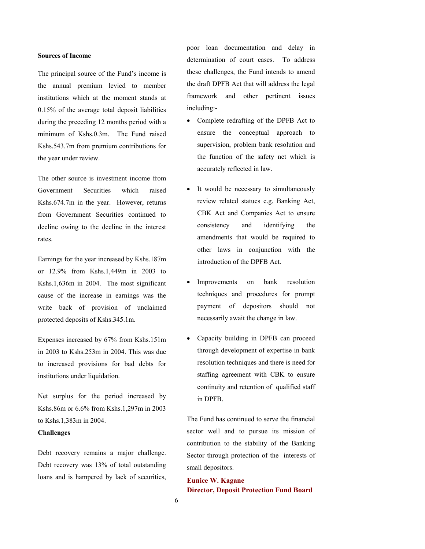#### **Sources of Income**

The principal source of the Fund's income is the annual premium levied to member institutions which at the moment stands at 0.15% of the average total deposit liabilities during the preceding 12 months period with a minimum of Kshs.0.3m. The Fund raised Kshs.543.7m from premium contributions for the year under review.

The other source is investment income from Government Securities which raised Kshs.674.7m in the year. However, returns from Government Securities continued to decline owing to the decline in the interest rates.

Earnings for the year increased by Kshs.187m or 12.9% from Kshs.1,449m in 2003 to Kshs.1,636m in 2004. The most significant cause of the increase in earnings was the write back of provision of unclaimed protected deposits of Kshs.345.1m.

Expenses increased by 67% from Kshs.151m in 2003 to Kshs.253m in 2004. This was due to increased provisions for bad debts for institutions under liquidation.

Net surplus for the period increased by Kshs.86m or 6.6% from Kshs.1,297m in 2003 to Kshs.1,383m in 2004.

## **Challenges**

Debt recovery remains a major challenge. Debt recovery was 13% of total outstanding loans and is hampered by lack of securities, poor loan documentation and delay in determination of court cases. To address these challenges, the Fund intends to amend the draft DPFB Act that will address the legal framework and other pertinent issues including:-

- Complete redrafting of the DPFB Act to ensure the conceptual approach to supervision, problem bank resolution and the function of the safety net which is accurately reflected in law.
- It would be necessary to simultaneously review related statues e.g. Banking Act, CBK Act and Companies Act to ensure consistency and identifying the amendments that would be required to other laws in conjunction with the introduction of the DPFB Act.
- Improvements on bank resolution techniques and procedures for prompt payment of depositors should not necessarily await the change in law.
- Capacity building in DPFB can proceed through development of expertise in bank resolution techniques and there is need for staffing agreement with CBK to ensure continuity and retention of qualified staff in DPFB.

The Fund has continued to serve the financial sector well and to pursue its mission of contribution to the stability of the Banking Sector through protection of the interests of small depositors.

**Eunice W. Kagane Director, Deposit Protection Fund Board**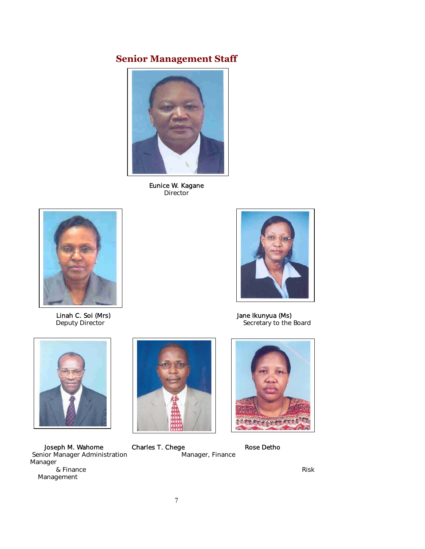# **Senior Management Staff**



Eunice W. Kagane Director



Secretary to the Board

Linah C. Soi (Mrs) dia kanang manalalang dia kanang Jane Ikunyua (Ms) Jane Ikunyua (Ms) Jane Ikunyua (Ms) Jane Ikunyua (Ms) Jane Ikunyua (Ms) Jane Ikunyua (Ms) Jane Ikunyua (Ms) Jane Ikunyua (Ms) Jane Ikunyua (Ms) Jane Iku



Joseph M. Wahome Charles T. Chege Charles T. Chege Rose Detho<br>ior Manager Administration Manager, Finance Senior Manager Administration Manager & Finance Risk Management

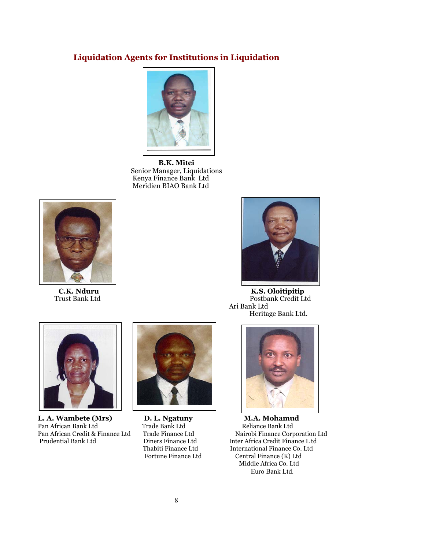## **Liquidation Agents for Institutions in Liquidation**



**B.K. Mitei**  Senior Manager, Liquidations Kenya Finance Bank Ltd Meridien BIAO Bank Ltd





**C.K. Nduru K.S. Oloitipitip**  Postbank Credit Ltd Ari Bank Ltd Heritage Bank Ltd.



**L. A. Wambete (Mrs) C. D. L. Ngatuny M. A. Mohamud Pan African Bank Ltd Crace Bank Ltd Crace Bank Ltd Crace Bank Ltd Crace Bank Ltd Crace Bank Ltd Crace Bank Ltd Crace Bank Ltd Crace Bank Ltd Crace Bank Ltd Crace Bank Ltd** Pan African Bank Ltd Trade Bank Ltd Reliance Bank Ltd Prudential Bank Ltd Diners Finance Ltd Inter Africa Credit Finance L td





Pan African Credit & Finance Ltd Trade Finance Ltd Nairobi Finance Corporation Ltd Thabiti Finance Ltd International Finance Co. Ltd Fortune Finance Ltd Central Finance (K) Ltd Middle Africa Co. Ltd Euro Bank Ltd.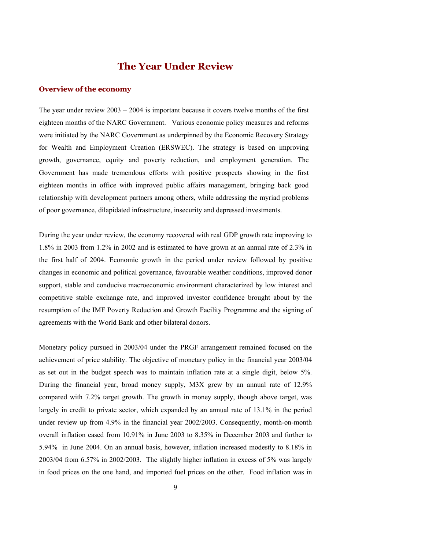## **The Year Under Review**

## **Overview of the economy**

The year under review 2003 – 2004 is important because it covers twelve months of the first eighteen months of the NARC Government. Various economic policy measures and reforms were initiated by the NARC Government as underpinned by the Economic Recovery Strategy for Wealth and Employment Creation (ERSWEC). The strategy is based on improving growth, governance, equity and poverty reduction, and employment generation. The Government has made tremendous efforts with positive prospects showing in the first eighteen months in office with improved public affairs management, bringing back good relationship with development partners among others, while addressing the myriad problems of poor governance, dilapidated infrastructure, insecurity and depressed investments.

During the year under review, the economy recovered with real GDP growth rate improving to 1.8% in 2003 from 1.2% in 2002 and is estimated to have grown at an annual rate of 2.3% in the first half of 2004. Economic growth in the period under review followed by positive changes in economic and political governance, favourable weather conditions, improved donor support, stable and conducive macroeconomic environment characterized by low interest and competitive stable exchange rate, and improved investor confidence brought about by the resumption of the IMF Poverty Reduction and Growth Facility Programme and the signing of agreements with the World Bank and other bilateral donors.

Monetary policy pursued in 2003/04 under the PRGF arrangement remained focused on the achievement of price stability. The objective of monetary policy in the financial year 2003/04 as set out in the budget speech was to maintain inflation rate at a single digit, below 5%. During the financial year, broad money supply, M3X grew by an annual rate of 12.9% compared with 7.2% target growth. The growth in money supply, though above target, was largely in credit to private sector, which expanded by an annual rate of 13.1% in the period under review up from 4.9% in the financial year 2002/2003. Consequently, month-on-month overall inflation eased from 10.91% in June 2003 to 8.35% in December 2003 and further to 5.94% in June 2004. On an annual basis, however, inflation increased modestly to 8.18% in 2003/04 from 6.57% in 2002/2003. The slightly higher inflation in excess of 5% was largely in food prices on the one hand, and imported fuel prices on the other. Food inflation was in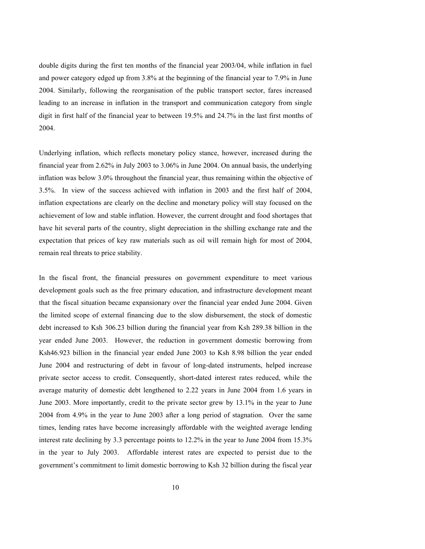double digits during the first ten months of the financial year 2003/04, while inflation in fuel and power category edged up from 3.8% at the beginning of the financial year to 7.9% in June 2004. Similarly, following the reorganisation of the public transport sector, fares increased leading to an increase in inflation in the transport and communication category from single digit in first half of the financial year to between 19.5% and 24.7% in the last first months of 2004.

Underlying inflation, which reflects monetary policy stance, however, increased during the financial year from 2.62% in July 2003 to 3.06% in June 2004. On annual basis, the underlying inflation was below 3.0% throughout the financial year, thus remaining within the objective of 3.5%. In view of the success achieved with inflation in 2003 and the first half of 2004, inflation expectations are clearly on the decline and monetary policy will stay focused on the achievement of low and stable inflation. However, the current drought and food shortages that have hit several parts of the country, slight depreciation in the shilling exchange rate and the expectation that prices of key raw materials such as oil will remain high for most of 2004, remain real threats to price stability.

In the fiscal front, the financial pressures on government expenditure to meet various development goals such as the free primary education, and infrastructure development meant that the fiscal situation became expansionary over the financial year ended June 2004. Given the limited scope of external financing due to the slow disbursement, the stock of domestic debt increased to Ksh 306.23 billion during the financial year from Ksh 289.38 billion in the year ended June 2003. However, the reduction in government domestic borrowing from Ksh46.923 billion in the financial year ended June 2003 to Ksh 8.98 billion the year ended June 2004 and restructuring of debt in favour of long-dated instruments, helped increase private sector access to credit. Consequently, short-dated interest rates reduced, while the average maturity of domestic debt lengthened to 2.22 years in June 2004 from 1.6 years in June 2003. More importantly, credit to the private sector grew by 13.1% in the year to June 2004 from 4.9% in the year to June 2003 after a long period of stagnation. Over the same times, lending rates have become increasingly affordable with the weighted average lending interest rate declining by 3.3 percentage points to 12.2% in the year to June 2004 from 15.3% in the year to July 2003. Affordable interest rates are expected to persist due to the government's commitment to limit domestic borrowing to Ksh 32 billion during the fiscal year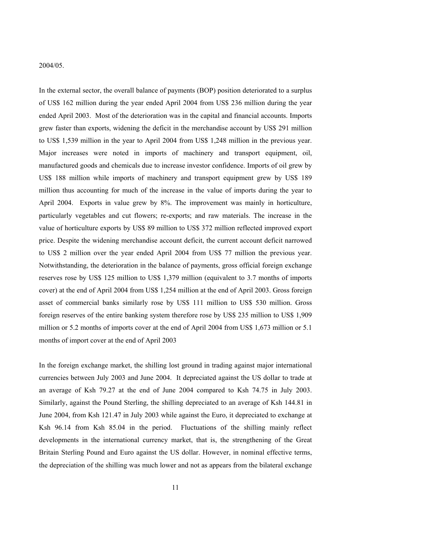#### 2004/05.

In the external sector, the overall balance of payments (BOP) position deteriorated to a surplus of US\$ 162 million during the year ended April 2004 from US\$ 236 million during the year ended April 2003. Most of the deterioration was in the capital and financial accounts. Imports grew faster than exports, widening the deficit in the merchandise account by US\$ 291 million to US\$ 1,539 million in the year to April 2004 from US\$ 1,248 million in the previous year. Major increases were noted in imports of machinery and transport equipment, oil, manufactured goods and chemicals due to increase investor confidence. Imports of oil grew by US\$ 188 million while imports of machinery and transport equipment grew by US\$ 189 million thus accounting for much of the increase in the value of imports during the year to April 2004. Exports in value grew by 8%. The improvement was mainly in horticulture, particularly vegetables and cut flowers; re-exports; and raw materials. The increase in the value of horticulture exports by US\$ 89 million to US\$ 372 million reflected improved export price. Despite the widening merchandise account deficit, the current account deficit narrowed to US\$ 2 million over the year ended April 2004 from US\$ 77 million the previous year. Notwithstanding, the deterioration in the balance of payments, gross official foreign exchange reserves rose by US\$ 125 million to US\$ 1,379 million (equivalent to 3.7 months of imports cover) at the end of April 2004 from US\$ 1,254 million at the end of April 2003. Gross foreign asset of commercial banks similarly rose by US\$ 111 million to US\$ 530 million. Gross foreign reserves of the entire banking system therefore rose by US\$ 235 million to US\$ 1,909 million or 5.2 months of imports cover at the end of April 2004 from US\$ 1,673 million or 5.1 months of import cover at the end of April 2003

In the foreign exchange market, the shilling lost ground in trading against major international currencies between July 2003 and June 2004. It depreciated against the US dollar to trade at an average of Ksh 79.27 at the end of June 2004 compared to Ksh 74.75 in July 2003. Similarly, against the Pound Sterling, the shilling depreciated to an average of Ksh 144.81 in June 2004, from Ksh 121.47 in July 2003 while against the Euro, it depreciated to exchange at Ksh 96.14 from Ksh 85.04 in the period. Fluctuations of the shilling mainly reflect developments in the international currency market, that is, the strengthening of the Great Britain Sterling Pound and Euro against the US dollar. However, in nominal effective terms, the depreciation of the shilling was much lower and not as appears from the bilateral exchange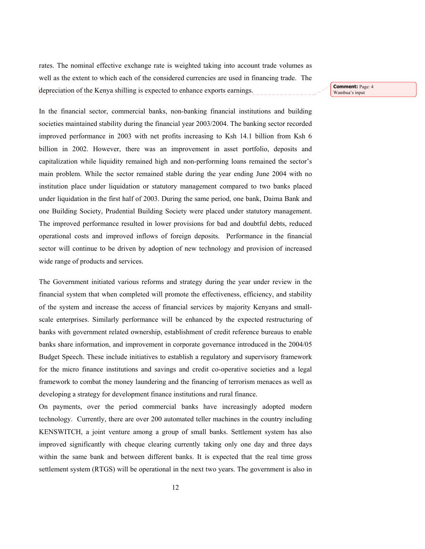rates. The nominal effective exchange rate is weighted taking into account trade volumes as well as the extent to which each of the considered currencies are used in financing trade. The depreciation of the Kenya shilling is expected to enhance exports earnings.

**Comment:** Page: 4 Wambua's input

In the financial sector, commercial banks, non-banking financial institutions and building societies maintained stability during the financial year 2003/2004. The banking sector recorded improved performance in 2003 with net profits increasing to Ksh 14.1 billion from Ksh 6 billion in 2002. However, there was an improvement in asset portfolio, deposits and capitalization while liquidity remained high and non-performing loans remained the sector's main problem. While the sector remained stable during the year ending June 2004 with no institution place under liquidation or statutory management compared to two banks placed under liquidation in the first half of 2003. During the same period, one bank, Daima Bank and one Building Society, Prudential Building Society were placed under statutory management. The improved performance resulted in lower provisions for bad and doubtful debts, reduced operational costs and improved inflows of foreign deposits. Performance in the financial sector will continue to be driven by adoption of new technology and provision of increased wide range of products and services.

The Government initiated various reforms and strategy during the year under review in the financial system that when completed will promote the effectiveness, efficiency, and stability of the system and increase the access of financial services by majority Kenyans and smallscale enterprises. Similarly performance will be enhanced by the expected restructuring of banks with government related ownership, establishment of credit reference bureaus to enable banks share information, and improvement in corporate governance introduced in the 2004/05 Budget Speech. These include initiatives to establish a regulatory and supervisory framework for the micro finance institutions and savings and credit co-operative societies and a legal framework to combat the money laundering and the financing of terrorism menaces as well as developing a strategy for development finance institutions and rural finance.

On payments, over the period commercial banks have increasingly adopted modern technology. Currently, there are over 200 automated teller machines in the country including KENSWITCH, a joint venture among a group of small banks. Settlement system has also improved significantly with cheque clearing currently taking only one day and three days within the same bank and between different banks. It is expected that the real time gross settlement system (RTGS) will be operational in the next two years. The government is also in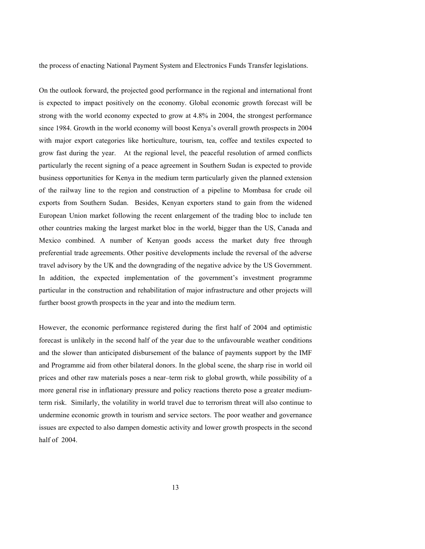the process of enacting National Payment System and Electronics Funds Transfer legislations.

On the outlook forward, the projected good performance in the regional and international front is expected to impact positively on the economy. Global economic growth forecast will be strong with the world economy expected to grow at 4.8% in 2004, the strongest performance since 1984. Growth in the world economy will boost Kenya's overall growth prospects in 2004 with major export categories like horticulture, tourism, tea, coffee and textiles expected to grow fast during the year. At the regional level, the peaceful resolution of armed conflicts particularly the recent signing of a peace agreement in Southern Sudan is expected to provide business opportunities for Kenya in the medium term particularly given the planned extension of the railway line to the region and construction of a pipeline to Mombasa for crude oil exports from Southern Sudan. Besides, Kenyan exporters stand to gain from the widened European Union market following the recent enlargement of the trading bloc to include ten other countries making the largest market bloc in the world, bigger than the US, Canada and Mexico combined. A number of Kenyan goods access the market duty free through preferential trade agreements. Other positive developments include the reversal of the adverse travel advisory by the UK and the downgrading of the negative advice by the US Government. In addition, the expected implementation of the government's investment programme particular in the construction and rehabilitation of major infrastructure and other projects will further boost growth prospects in the year and into the medium term.

However, the economic performance registered during the first half of 2004 and optimistic forecast is unlikely in the second half of the year due to the unfavourable weather conditions and the slower than anticipated disbursement of the balance of payments support by the IMF and Programme aid from other bilateral donors. In the global scene, the sharp rise in world oil prices and other raw materials poses a near–term risk to global growth, while possibility of a more general rise in inflationary pressure and policy reactions thereto pose a greater mediumterm risk. Similarly, the volatility in world travel due to terrorism threat will also continue to undermine economic growth in tourism and service sectors. The poor weather and governance issues are expected to also dampen domestic activity and lower growth prospects in the second half of 2004.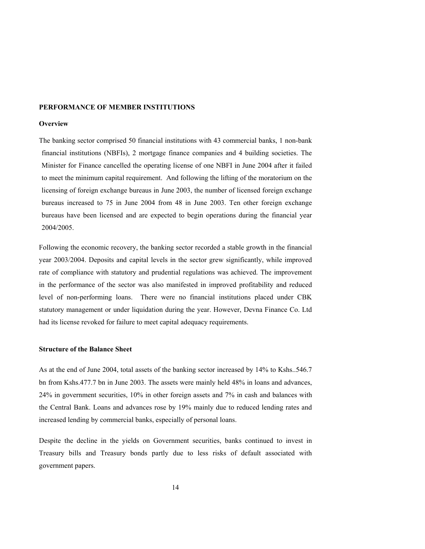## **PERFORMANCE OF MEMBER INSTITUTIONS**

## **Overview**

The banking sector comprised 50 financial institutions with 43 commercial banks, 1 non-bank financial institutions (NBFIs), 2 mortgage finance companies and 4 building societies. The Minister for Finance cancelled the operating license of one NBFI in June 2004 after it failed to meet the minimum capital requirement. And following the lifting of the moratorium on the licensing of foreign exchange bureaus in June 2003, the number of licensed foreign exchange bureaus increased to 75 in June 2004 from 48 in June 2003. Ten other foreign exchange bureaus have been licensed and are expected to begin operations during the financial year 2004/2005.

Following the economic recovery, the banking sector recorded a stable growth in the financial year 2003/2004. Deposits and capital levels in the sector grew significantly, while improved rate of compliance with statutory and prudential regulations was achieved. The improvement in the performance of the sector was also manifested in improved profitability and reduced level of non-performing loans. There were no financial institutions placed under CBK statutory management or under liquidation during the year. However, Devna Finance Co. Ltd had its license revoked for failure to meet capital adequacy requirements.

### **Structure of the Balance Sheet**

As at the end of June 2004, total assets of the banking sector increased by 14% to Kshs..546.7 bn from Kshs.477.7 bn in June 2003. The assets were mainly held 48% in loans and advances, 24% in government securities, 10% in other foreign assets and 7% in cash and balances with the Central Bank. Loans and advances rose by 19% mainly due to reduced lending rates and increased lending by commercial banks, especially of personal loans.

Despite the decline in the yields on Government securities, banks continued to invest in Treasury bills and Treasury bonds partly due to less risks of default associated with government papers.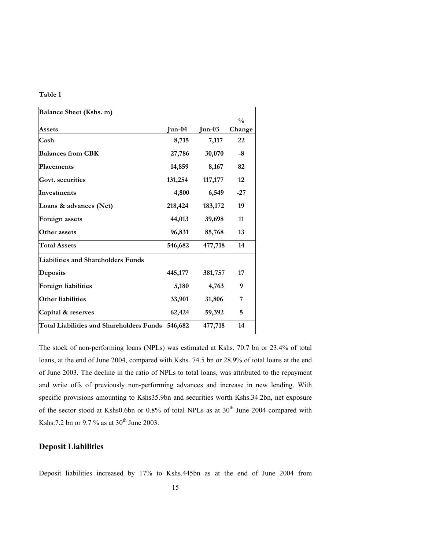## **Table 1**

| <b>Balance Sheet (Kshs. m)</b>                   |          |          |                         |
|--------------------------------------------------|----------|----------|-------------------------|
| Assets                                           | $Jun-04$ | $Jun-03$ | $\frac{0}{0}$<br>Change |
| Cash                                             | 8,715    | 7,117    | 22                      |
| <b>Balances from CBK</b>                         | 27,786   | 30,070   | -8                      |
| Placements                                       | 14,859   | 8,167    | 82                      |
| Govt. securities                                 | 131,254  | 117,177  | 12                      |
| Investments                                      | 4,800    | 6,549    | $-27$                   |
| Loans & advances (Net)                           | 218,424  | 183,172  | 19                      |
| Foreign assets                                   | 44,013   | 39,698   | 11                      |
| Other assets                                     | 96,831   | 85,768   | 13                      |
| <b>Total Assets</b>                              | 546,682  | 477,718  | 14                      |
| Liabilities and Shareholders Funds               |          |          |                         |
| Deposits                                         | 445,177  | 381,757  | 17                      |
| <b>Foreign liabilities</b>                       | 5,180    | 4,763    | 9                       |
| <b>Other liabilities</b>                         | 33,901   | 31,806   | 7                       |
| Capital & reserves                               | 62,424   | 59,392   | 5                       |
| Total Liabilities and Shareholders Funds 546,682 |          | 477,718  | 14                      |

The stock of non-performing loans (NPLs) was estimated at Kshs. 70.7 bn or 23.4% of total loans, at the end of June 2004, compared with Kshs. 74.5 bn or 28.9% of total loans at the end of June 2003. The decline in the ratio of NPLs to total loans, was attributed to the repayment and write offs of previously non-performing advances and increase in new lending. With specific provisions amounting to Kshs35.9bn and securities worth Kshs.34.2bn, net exposure of the sector stood at Kshs0.6bn or 0.8% of total NPLs as at 30<sup>th</sup> June 2004 compared with Kshs.7.2 bn or 9.7 % as at  $30^{th}$  June 2003.

## **Deposit Liabilities**

Deposit liabilities increased by 17% to Kshs.445bn as at the end of June 2004 from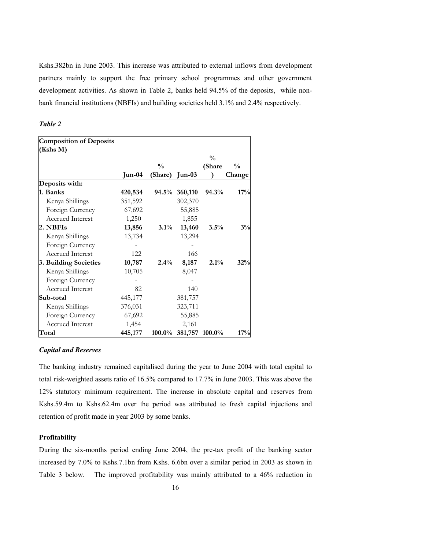Kshs.382bn in June 2003. This increase was attributed to external inflows from development partners mainly to support the free primary school programmes and other government development activities. As shown in Table 2, banks held 94.5% of the deposits, while nonbank financial institutions (NBFIs) and building societies held 3.1% and 2.4% respectively.

## *Table 2*

| <b>Composition of Deposits</b> |         |                |                       |               |               |
|--------------------------------|---------|----------------|-----------------------|---------------|---------------|
| (Kshs M)                       |         |                |                       |               |               |
|                                |         |                |                       | $\frac{0}{0}$ |               |
|                                |         | $\frac{0}{0}$  |                       | (Share        | $\frac{0}{0}$ |
|                                | Jun-04  | (Share) Jun-03 |                       |               | Change        |
| Deposits with:                 |         |                |                       |               |               |
| 1. Banks                       | 420,534 |                | 94.5% 360,110         | 94.3%         | 17%           |
| Kenya Shillings                | 351,592 |                | 302,370               |               |               |
| Foreign Currency               | 67,692  |                | 55,885                |               |               |
| <b>Accrued Interest</b>        | 1,250   |                | 1,855                 |               |               |
| 2. NBFIs                       | 13,856  | 3.1%           | 13,460                | 3.5%          | 3%            |
| Kenya Shillings                | 13,734  |                | 13,294                |               |               |
| Foreign Currency               |         |                |                       |               |               |
| <b>Accrued Interest</b>        | 122     |                | 166                   |               |               |
| 3. Building Societies          | 10,787  | 2.4%           | 8,187                 | 2.1%          | 32%           |
| Kenya Shillings                | 10,705  |                | 8,047                 |               |               |
| Foreign Currency               |         |                |                       |               |               |
| <b>Accrued Interest</b>        | 82      |                | 140                   |               |               |
| Sub-total                      | 445,177 |                | 381,757               |               |               |
| Kenya Shillings                | 376,031 |                | 323,711               |               |               |
| Foreign Currency               | 67,692  |                | 55,885                |               |               |
| Accrued Interest               | 1,454   |                | 2,161                 |               |               |
| Total                          | 445,177 |                | 100.0% 381,757 100.0% |               | 17%           |

## *Capital and Reserves*

The banking industry remained capitalised during the year to June 2004 with total capital to total risk-weighted assets ratio of 16.5% compared to 17.7% in June 2003. This was above the 12% statutory minimum requirement. The increase in absolute capital and reserves from Kshs.59.4m to Kshs.62.4m over the period was attributed to fresh capital injections and retention of profit made in year 2003 by some banks.

### **Profitability**

During the six-months period ending June 2004, the pre-tax profit of the banking sector increased by 7.0% to Kshs.7.1bn from Kshs. 6.6bn over a similar period in 2003 as shown in Table 3 below. The improved profitability was mainly attributed to a 46% reduction in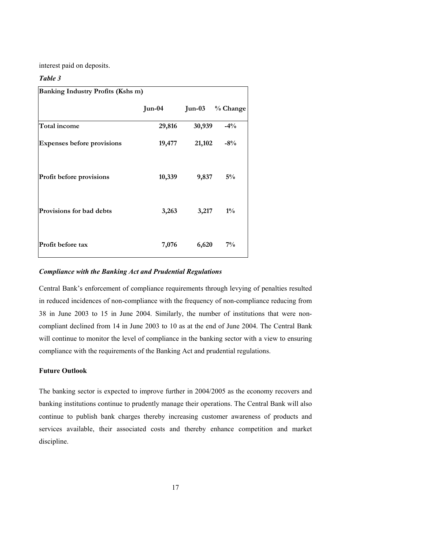interest paid on deposits.

## *Table 3*

| <b>Banking Industry Profits (Kshs m)</b> |          |        |          |  |  |
|------------------------------------------|----------|--------|----------|--|--|
|                                          | $Jun-04$ | Jun-03 | % Change |  |  |
| Total income                             | 29,816   | 30,939 | $-4\%$   |  |  |
| <b>Expenses before provisions</b>        | 19,477   | 21,102 | $-8\%$   |  |  |
| Profit before provisions                 | 10,339   | 9,837  | $5\%$    |  |  |
| <b>Provisions for bad debts</b>          | 3,263    | 3,217  | $1\%$    |  |  |
| Profit before tax                        | 7,076    | 6,620  | $7\%$    |  |  |

### *Compliance with the Banking Act and Prudential Regulations*

Central Bank's enforcement of compliance requirements through levying of penalties resulted in reduced incidences of non-compliance with the frequency of non-compliance reducing from 38 in June 2003 to 15 in June 2004. Similarly, the number of institutions that were noncompliant declined from 14 in June 2003 to 10 as at the end of June 2004. The Central Bank will continue to monitor the level of compliance in the banking sector with a view to ensuring compliance with the requirements of the Banking Act and prudential regulations.

## **Future Outlook**

The banking sector is expected to improve further in 2004/2005 as the economy recovers and banking institutions continue to prudently manage their operations. The Central Bank will also continue to publish bank charges thereby increasing customer awareness of products and services available, their associated costs and thereby enhance competition and market discipline.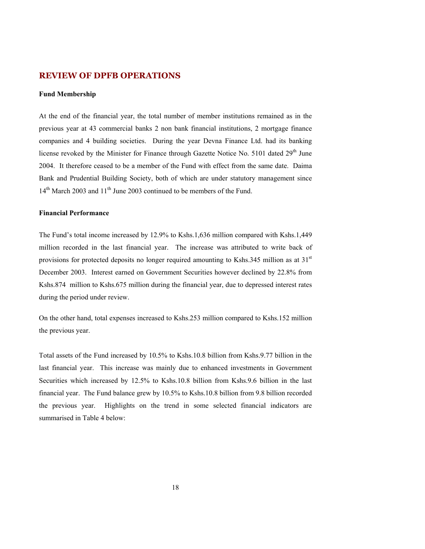## **REVIEW OF DPFB OPERATIONS**

## **Fund Membership**

At the end of the financial year, the total number of member institutions remained as in the previous year at 43 commercial banks 2 non bank financial institutions, 2 mortgage finance companies and 4 building societies. During the year Devna Finance Ltd. had its banking license revoked by the Minister for Finance through Gazette Notice No.  $5101$  dated  $29<sup>th</sup>$  June 2004. It therefore ceased to be a member of the Fund with effect from the same date. Daima Bank and Prudential Building Society, both of which are under statutory management since 14<sup>th</sup> March 2003 and 11<sup>th</sup> June 2003 continued to be members of the Fund.

### **Financial Performance**

The Fund's total income increased by 12.9% to Kshs.1,636 million compared with Kshs.1,449 million recorded in the last financial year. The increase was attributed to write back of provisions for protected deposits no longer required amounting to Kshs.345 million as at  $31<sup>st</sup>$ December 2003. Interest earned on Government Securities however declined by 22.8% from Kshs.874 million to Kshs.675 million during the financial year, due to depressed interest rates during the period under review.

On the other hand, total expenses increased to Kshs.253 million compared to Kshs.152 million the previous year.

Total assets of the Fund increased by 10.5% to Kshs.10.8 billion from Kshs.9.77 billion in the last financial year. This increase was mainly due to enhanced investments in Government Securities which increased by 12.5% to Kshs.10.8 billion from Kshs.9.6 billion in the last financial year. The Fund balance grew by 10.5% to Kshs.10.8 billion from 9.8 billion recorded the previous year. Highlights on the trend in some selected financial indicators are summarised in Table 4 below: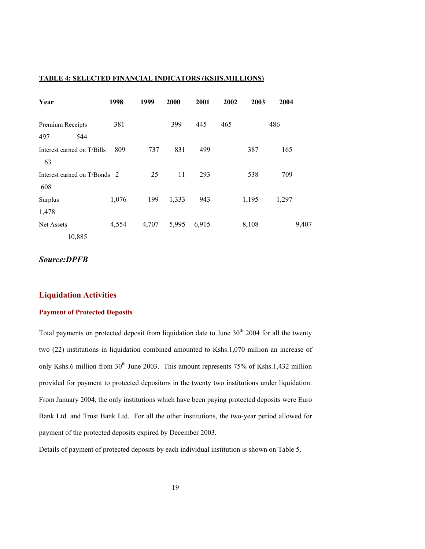## **TABLE 4: SELECTED FINANCIAL INDICATORS (KSHS.MILLIONS)**

| Year                                | 1998  | 1999  | 2000  | 2001  | 2002 | 2003  | 2004  |       |
|-------------------------------------|-------|-------|-------|-------|------|-------|-------|-------|
| Premium Receipts<br>544<br>497      | 381   |       | 399   | 445   | 465  |       | 486   |       |
| Interest earned on T/Bills<br>63    | 809   | 737   | 831   | 499   |      | 387   | 165   |       |
| Interest earned on T/Bonds 2<br>608 |       | 25    | 11    | 293   |      | 538   | 709   |       |
| Surplus<br>1,478                    | 1,076 | 199   | 1,333 | 943   |      | 1,195 | 1,297 |       |
| Net Assets<br>10,885                | 4,554 | 4,707 | 5,995 | 6,915 |      | 8,108 |       | 9,407 |

## *Source:DPFB*

## **Liquidation Activities**

## **Payment of Protected Deposits**

Total payments on protected deposit from liquidation date to June  $30<sup>th</sup>$  2004 for all the twenty two (22) institutions in liquidation combined amounted to Kshs.1,070 million an increase of only Kshs.6 million from 30<sup>th</sup> June 2003. This amount represents 75% of Kshs.1,432 million provided for payment to protected depositors in the twenty two institutions under liquidation. From January 2004, the only institutions which have been paying protected deposits were Euro Bank Ltd. and Trust Bank Ltd. For all the other institutions, the two-year period allowed for payment of the protected deposits expired by December 2003.

Details of payment of protected deposits by each individual institution is shown on Table 5.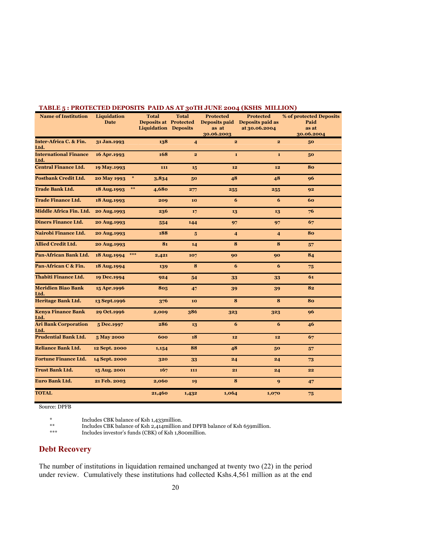| TADLE $\mathfrak z$ . I NOTECTED DETOSITS TAID AS AT $\mathfrak z$ 0111 JONE 2004 (NSHS MILLION) |                    |        |              |                              |                         |                                |                         |
|--------------------------------------------------------------------------------------------------|--------------------|--------|--------------|------------------------------|-------------------------|--------------------------------|-------------------------|
| <b>Name of Institution</b>                                                                       | Liquidation        |        | <b>Total</b> | <b>Total</b>                 | <b>Protected</b>        | <b>Protected</b>               | % of protected Deposits |
|                                                                                                  | <b>Date</b>        |        |              | <b>Deposits at Protected</b> |                         | Deposits paid Deposits paid as | Paid                    |
|                                                                                                  |                    |        |              | <b>Liquidation Deposits</b>  | as at                   | at 30.06.2004                  | as at                   |
|                                                                                                  |                    |        |              |                              | 30.06.2003              |                                | 30.06.2004              |
| Inter-Africa C. & Fin.                                                                           | 31 Jan.1993        |        | 138          | $\overline{4}$               | $\overline{\mathbf{2}}$ | $\overline{\mathbf{2}}$        | 50                      |
| Ltd.                                                                                             |                    |        |              |                              |                         |                                |                         |
| <b>International Finance</b>                                                                     | 16 Apr.1993        |        | 168          | $\overline{2}$               | $\mathbf{1}$            | $\mathbf{1}$                   | 50                      |
| Ltd.                                                                                             |                    |        |              |                              |                         |                                |                         |
| <b>Central Finance Ltd.</b>                                                                      | 19 May.1993        |        | 111          | 15                           | 12                      | 12                             | 80                      |
| <b>Postbank Credit Ltd.</b>                                                                      | <b>20 May 1993</b> | $\ast$ | 3,834        | 50                           | 48                      | 48                             | 96                      |
| <b>Trade Bank Ltd.</b>                                                                           | 18 Aug. 1993       | $***$  | 4,680        | 277                          | 255                     | 255                            | 92                      |
| <b>Trade Finance Ltd.</b>                                                                        | 18 Aug. 1993       |        | 209          | 10                           | 6                       | 6                              | 60                      |
| Middle Africa Fin. Ltd.                                                                          | 20 Aug.1993        |        | 236          | 17                           | 13                      | 13                             | 76                      |
| <b>Diners Finance Ltd.</b>                                                                       | 20 Aug.1993        |        | 554          | 144                          | 97                      | 97                             | 67                      |
| Nairobi Finance Ltd.                                                                             | 20 Aug.1993        |        | 188          | $5\phantom{.0}$              | $\overline{4}$          | $\overline{4}$                 | 80                      |
| <b>Allied Credit Ltd.</b>                                                                        | 20 Aug.1993        |        | 81           | 14                           | 8                       | 8                              | 57                      |
| <b>Pan-African Bank Ltd.</b>                                                                     | 18 Aug. 1994       | $***$  | 2,421        | 107                          | 90                      | 90                             | 84                      |
| Pan-African C & Fin.                                                                             | 18 Aug. 1994       |        | 139          | 8                            | 6                       | 6                              | 75                      |
| <b>Thabiti Finance Ltd.</b>                                                                      | 19 Dec.1994        |        | 924          | 54                           | 33                      | 33                             | 61                      |
| <b>Meridien Biao Bank</b><br>Ltd.                                                                | 15 Apr.1996        |        | 805          | 47                           | 39                      | 39                             | 82                      |
| <b>Heritage Bank Ltd.</b>                                                                        | 13 Sept.1996       |        | 376          | 10                           | 8                       | 8                              | 80                      |
| <b>Kenya Finance Bank</b><br>Ltd.                                                                | 29 Oct.1996        |        | 2,009        | 386                          | 323                     | 323                            | 96                      |
| <b>Ari Bank Corporation</b><br>Ltd.                                                              | 5 Dec.1997         |        | 286          | 13                           | 6                       | 6                              | 46                      |
| <b>Prudential Bank Ltd.</b>                                                                      | 5 May 2000         |        | 600          | 18                           | 12                      | 12                             | 67                      |
| <b>Reliance Bank Ltd.</b>                                                                        | 12 Sept. 2000      |        | 1,154        | 88                           | 48                      | 50                             | 57                      |
| <b>Fortune Finance Ltd.</b>                                                                      | 14 Sept. 2000      |        | 320          | 33                           | 24                      | 24                             | 73                      |
| <b>Trust Bank Ltd.</b>                                                                           | 15 Aug. 2001       |        | 167          | 111                          | 21                      | 24                             | 22                      |
| Euro Bank Ltd.                                                                                   | 21 Feb. 2003       |        | 2,060        | 19                           | 8                       | 9                              | 47                      |
| <b>TOTAL</b>                                                                                     |                    |        | 21,460       | 1,432                        | 1,064                   | 1,070                          | 75                      |

## **TABLE 5 : PROTECTED DEPOSITS PAID AS AT 30TH JUNE 2004 (KSHS MILLION)**

Source: DPFB

\* Includes CBK balance of Ksh 1,433million.

\*\* Includes CBK balance of Ksh 2,414million and DPFB balance of Ksh 659million.

Includes investor's funds (CBK) of Ksh 1,800million.

## **Debt Recovery**

The number of institutions in liquidation remained unchanged at twenty two (22) in the period under review. Cumulatively these institutions had collected Kshs.4,561 million as at the end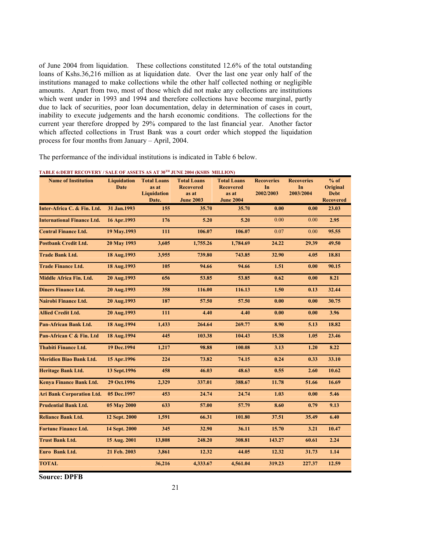of June 2004 from liquidation. These collections constituted 12.6% of the total outstanding loans of Kshs.36,216 million as at liquidation date. Over the last one year only half of the institutions managed to make collections while the other half collected nothing or negligible amounts. Apart from two, most of those which did not make any collections are institutions which went under in 1993 and 1994 and therefore collections have become marginal, partly due to lack of securities, poor loan documentation, delay in determination of cases in court, inability to execute judgements and the harsh economic conditions. The collections for the current year therefore dropped by 29% compared to the last financial year. Another factor which affected collections in Trust Bank was a court order which stopped the liquidation process for four months from January – April, 2004.

The performance of the individual institutions is indicated in Table 6 below.

| <b>Name of Institution</b>        | Liquidation<br><b>Date</b> | <b>Total Loans</b><br>as at | <b>Total Loans</b><br><b>Recovered</b> | <b>Total Loans</b><br><b>Recovered</b> | <b>Recoveries</b><br>In | <b>Recoveries</b><br>In | $%$ of<br>Original |
|-----------------------------------|----------------------------|-----------------------------|----------------------------------------|----------------------------------------|-------------------------|-------------------------|--------------------|
|                                   |                            | <b>Liquidation</b>          | as at                                  | as at                                  | 2002/2003               | 2003/2004               | <b>Debt</b>        |
|                                   |                            | Date.                       | <b>June 2003</b>                       | <b>June 2004</b>                       |                         |                         | <b>Recovered</b>   |
| Inter-Africa C. & Fin. Ltd.       | 31 Jan.1993                | 155                         | 35.70                                  | 35.70                                  | 0.00                    | 0.00                    | 23.03              |
| <b>International Finance Ltd.</b> | 16 Apr.1993                | 176                         | 5.20                                   | 5.20                                   | 0.00                    | 0.00                    | 2.95               |
| <b>Central Finance Ltd.</b>       | 19 May.1993                | 111                         | 106.07                                 | 106.07                                 | 0.07                    | 0.00                    | 95.55              |
| <b>Postbank Credit Ltd.</b>       | 20 May 1993                | 3,605                       | 1,755.26                               | 1,784.69                               | 24.22                   | 29.39                   | 49.50              |
| <b>Trade Bank Ltd.</b>            | 18 Aug.1993                | 3,955                       | 739.80                                 | 743.85                                 | 32.90                   | 4.05                    | 18.81              |
| <b>Trade Finance Ltd.</b>         | 18 Aug.1993                | 105                         | 94.66                                  | 94.66                                  | 1.51                    | 0.00                    | 90.15              |
| <b>Middle Africa Fin. Ltd.</b>    | 20 Aug.1993                | 656                         | 53.85                                  | 53.85                                  | 0.62                    | 0.00                    | 8.21               |
| <b>Diners Finance Ltd.</b>        | 20 Aug.1993                | 358                         | 116.00                                 | 116.13                                 | 1.50                    | 0.13                    | 32.44              |
| Nairobi Finance Ltd.              | 20 Aug.1993                | 187                         | 57.50                                  | 57.50                                  | 0.00                    | 0.00                    | 30.75              |
| <b>Allied Credit Ltd.</b>         | 20 Aug.1993                | 111                         | 4.40                                   | 4.40                                   | 0.00                    | 0.00                    | 3.96               |
| <b>Pan-African Bank Ltd.</b>      | 18 Aug.1994                | 1,433                       | 264.64                                 | 269.77                                 | 8.90                    | 5.13                    | 18.82              |
| Pan-African C & Fin. Ltd          | 18 Aug.1994                | 445                         | 103.38                                 | 104.43                                 | 15.38                   | 1.05                    | 23.46              |
| <b>Thabiti Finance Ltd.</b>       | 19 Dec. 1994               | 1,217                       | 98.88                                  | 100.08                                 | 3.13                    | 1.20                    | 8.22               |
| <b>Meridien Biao Bank Ltd.</b>    | 15 Apr.1996                | 224                         | 73.82                                  | 74.15                                  | 0.24                    | 0.33                    | 33.10              |
| <b>Heritage Bank Ltd.</b>         | 13 Sept. 1996              | 458                         | 46.03                                  | 48.63                                  | 0.55                    | 2.60                    | 10.62              |
| <b>Kenya Finance Bank Ltd.</b>    | 29 Oct.1996                | 2,329                       | 337.01                                 | 388.67                                 | 11.78                   | 51.66                   | 16.69              |
| <b>Ari Bank Corporation Ltd.</b>  | 05 Dec.1997                | 453                         | 24.74                                  | 24.74                                  | 1.03                    | 0.00                    | 5.46               |
| <b>Prudential Bank Ltd.</b>       | 05 May 2000                | 633                         | 57.00                                  | 57.79                                  | 8.60                    | 0.79                    | 9.13               |
| <b>Reliance Bank Ltd.</b>         | 12 Sept. 2000              | 1,591                       | 66.31                                  | 101.80                                 | 37.51                   | 35.49                   | 6.40               |
| <b>Fortune Finance Ltd.</b>       | 14 Sept. 2000              | 345                         | 32.90                                  | 36.11                                  | 15.70                   | 3.21                    | 10.47              |
| <b>Trust Bank Ltd.</b>            | 15 Aug. 2001               | 13,808                      | 248.20                                 | 308.81                                 | 143.27                  | 60.61                   | 2.24               |
| Euro Bank Ltd.                    | 21 Feb. 2003               | 3,861                       | 12.32                                  | 44.05                                  | 12.32                   | 31.73                   | 1.14               |
| <b>TOTAL</b>                      |                            | 36,216                      | 4,333.67                               | 4,561.04                               | 319.23                  | 227.37                  | 12.59              |

**Source: DPFB**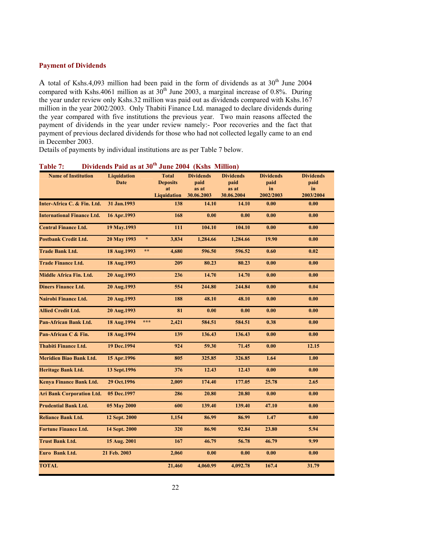## **Payment of Dividends**

A total of Kshs.4,093 million had been paid in the form of dividends as at  $30<sup>th</sup>$  June 2004 compared with Kshs.4061 million as at  $30^{th}$  June 2003, a marginal increase of 0.8%. During the year under review only Kshs.32 million was paid out as dividends compared with Kshs.167 million in the year 2002/2003. Only Thabiti Finance Ltd. managed to declare dividends during the year compared with five institutions the previous year. Two main reasons affected the payment of dividends in the year under review namely:- Poor recoveries and the fact that payment of previous declared dividends for those who had not collected legally came to an end in December 2003.

Details of payments by individual institutions are as per Table 7 below.

| <b>Name of Institution</b>        | <b>Liquidation</b> |              | <b>Total</b>       | <b>Dividends</b> | <b>Dividends</b> | <b>Dividends</b> | <b>Dividends</b> |
|-----------------------------------|--------------------|--------------|--------------------|------------------|------------------|------------------|------------------|
|                                   | <b>Date</b>        |              | <b>Deposits</b>    | paid             | paid             | paid             | paid             |
|                                   |                    |              | at                 | as at            | as at            | in               | in               |
|                                   |                    |              | <b>Liquidation</b> | 30.06.2003       | 30.06.2004       | 2002/2003        | 2003/2004        |
| Inter-Africa C. & Fin. Ltd.       | 31 Jan. 1993       |              | 138                | 14.10            | 14.10            | 0.00             | 0.00             |
| <b>International Finance Ltd.</b> | 16 Apr.1993        |              | 168                | 0.00             | 0.00             | 0.00             | 0.00             |
| <b>Central Finance Ltd.</b>       | 19 May.1993        |              | 111                | 104.10           | 104.10           | 0.00             | 0.00             |
| <b>Postbank Credit Ltd.</b>       | 20 May 1993        | $\star$      | 3,834              | 1,284.66         | 1,284.66         | 19.90            | 0.00             |
| <b>Trade Bank Ltd.</b>            | 18 Aug.1993        | $\star\star$ | 4,680              | 596.50           | 596.52           | 0.60             | 0.02             |
| <b>Trade Finance Ltd.</b>         | 18 Aug.1993        |              | 209                | 80.23            | 80.23            | 0.00             | 0.00             |
| Middle Africa Fin. Ltd.           | 20 Aug.1993        |              | 236                | 14.70            | 14.70            | 0.00             | 0.00             |
| <b>Diners Finance Ltd.</b>        | 20 Aug.1993        |              | 554                | 244.80           | 244.84           | 0.00             | 0.04             |
| Nairobi Finance Ltd.              | 20 Aug.1993        |              | 188                | 48.10            | 48.10            | 0.00             | 0.00             |
| <b>Allied Credit Ltd.</b>         | 20 Aug.1993        |              | 81                 | 0.00             | 0.00             | 0.00             | 0.00             |
| <b>Pan-African Bank Ltd.</b>      | 18 Aug.1994        | ***          | 2,421              | 584.51           | 584.51           | 0.38             | 0.00             |
| Pan-African C & Fin.              | 18 Aug.1994        |              | 139                | 136.43           | 136.43           | 0.00             | 0.00             |
| <b>Thabiti Finance Ltd.</b>       | 19 Dec. 1994       |              | 924                | 59.30            | 71.45            | 0.00             | 12.15            |
| <b>Meridien Biao Bank Ltd.</b>    | 15 Apr.1996        |              | 805                | 325.85           | 326.85           | 1.64             | 1.00             |
| Heritage Bank Ltd.                | 13 Sept.1996       |              | 376                | 12.43            | 12.43            | 0.00             | 0.00             |
| Kenya Finance Bank Ltd.           | 29 Oct.1996        |              | 2,009              | 174.40           | 177.05           | 25.78            | 2.65             |
| <b>Ari Bank Corporation Ltd.</b>  | 05 Dec.1997        |              | 286                | 20.80            | 20.80            | 0.00             | 0.00             |
| <b>Prudential Bank Ltd.</b>       | 05 May 2000        |              | 600                | 139.40           | 139.40           | 47.10            | 0.00             |
| <b>Reliance Bank Ltd.</b>         | 12 Sept. 2000      |              | 1,154              | 86.99            | 86.99            | 1.47             | 0.00             |
| <b>Fortune Finance Ltd.</b>       | 14 Sept. 2000      |              | 320                | 86.90            | 92.84            | 23.80            | 5.94             |
| <b>Trust Bank Ltd.</b>            | 15 Aug. 2001       |              | 167                | 46.79            | 56.78            | 46.79            | 9.99             |
| Euro Bank Ltd.                    | 21 Feb. 2003       |              | 2,060              | 0.00             | 0.00             | 0.00             | 0.00             |
| <b>TOTAL</b>                      |                    |              | 21,460             | 4,060.99         | 4,092.78         | 167.4            | 31.79            |

**Table 7: Dividends Paid as at 30th June 2004 (Kshs Million)**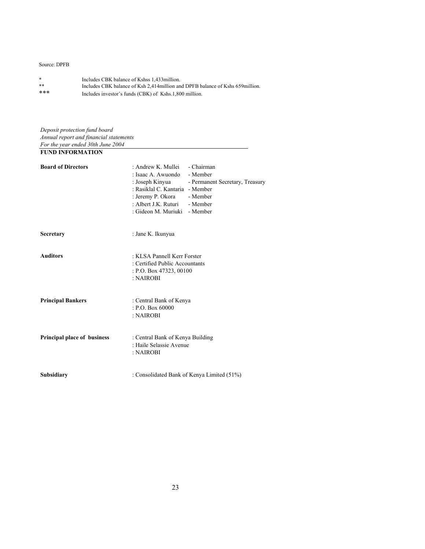## Source: DPFB

| *   | Includes CBK balance of Kshss 1,433 million.                                    |
|-----|---------------------------------------------------------------------------------|
| **  | Includes CBK balance of Ksh 2,414 million and DPFB balance of Kshs 659 million. |
| *** | Includes investor's funds (CBK) of Kshs.1,800 million.                          |

*Deposit protection fund board Annual report and financial statements For the year ended 30th June 2004* **FUND INFORMATION**

| <b>Board of Directors</b>          | : Andrew K. Mullei<br>- Chairman<br>: Isaac A. Awuondo<br>- Member<br>: Joseph Kinyua<br>- Permanent Secretary, Treasury<br>: Rasiklal C. Kantaria - Member<br>: Jeremy P. Okora<br>- Member<br>: Albert J.K. Ruturi<br>- Member<br>: Gideon M. Muriuki - Member |  |  |  |  |
|------------------------------------|------------------------------------------------------------------------------------------------------------------------------------------------------------------------------------------------------------------------------------------------------------------|--|--|--|--|
| <b>Secretary</b>                   | : Jane K. Ikunyua                                                                                                                                                                                                                                                |  |  |  |  |
| <b>Auditors</b>                    | : KLSA Pannell Kerr Forster<br>: Certified Public Accountants<br>: P.O. Box 47323, 00100<br>: NAIROBI                                                                                                                                                            |  |  |  |  |
| <b>Principal Bankers</b>           | : Central Bank of Kenya<br>: P.O. Box 60000<br>: NAIROBI                                                                                                                                                                                                         |  |  |  |  |
| <b>Principal place of business</b> | : Central Bank of Kenya Building<br>: Haile Selassie Avenue<br>: NAIROBI                                                                                                                                                                                         |  |  |  |  |
| Subsidiary                         | : Consolidated Bank of Kenya Limited (51%)                                                                                                                                                                                                                       |  |  |  |  |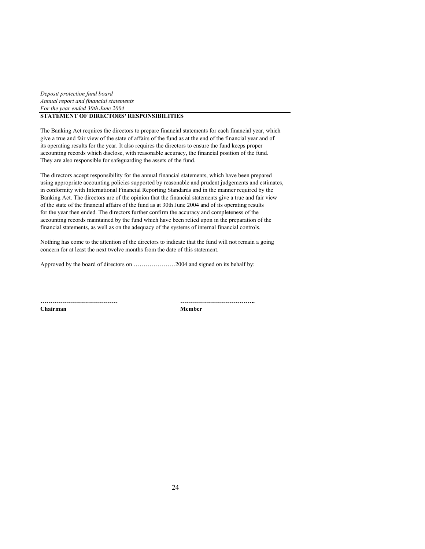*Deposit protection fund board Annual report and financial statements For the year ended 30th June 2004* **STATEMENT OF DIRECTORS' RESPONSIBILITIES**

The Banking Act requires the directors to prepare financial statements for each financial year, which give a true and fair view of the state of affairs of the fund as at the end of the financial year and of its operating results for the year. It also requires the directors to ensure the fund keeps proper accounting records which disclose, with reasonable accuracy, the financial position of the fund. They are also responsible for safeguarding the assets of the fund.

The directors accept responsibility for the annual financial statements, which have been prepared using appropriate accounting policies supported by reasonable and prudent judgements and estimates, in conformity with International Financial Reporting Standards and in the manner required by the Banking Act. The directors are of the opinion that the financial statements give a true and fair view of the state of the financial affairs of the fund as at 30th June 2004 and of its operating results for the year then ended. The directors further confirm the accuracy and completeness of the accounting records maintained by the fund which have been relied upon in the preparation of the financial statements, as well as on the adequacy of the systems of internal financial controls.

Nothing has come to the attention of the directors to indicate that the fund will not remain a going concern for at least the next twelve months from the date of this statement.

Approved by the board of directors on …………………2004 and signed on its behalf by:

**Chairman Member**

**………………………………… ………………………………..**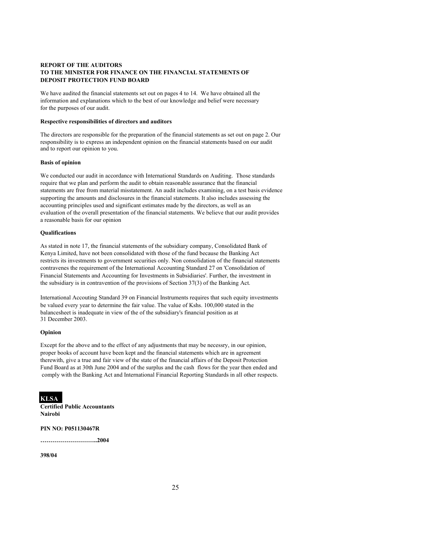### **REPORT OF THE AUDITORS TO THE MINISTER FOR FINANCE ON THE FINANCIAL STATEMENTS OF DEPOSIT PROTECTION FUND BOARD**

We have audited the financial statements set out on pages 4 to 14. We have obtained all the information and explanations which to the best of our knowledge and belief were necessary for the purposes of our audit.

#### **Respective responsibilities of directors and auditors**

The directors are responsible for the preparation of the financial statements as set out on page 2. Our responsibility is to express an independent opinion on the financial statements based on our audit and to report our opinion to you.

#### **Basis of opinion**

We conducted our audit in accordance with International Standards on Auditing. Those standards require that we plan and perform the audit to obtain reasonable assurance that the financial statements are free from material misstatement. An audit includes examining, on a test basis evidence supporting the amounts and disclosures in the financial statements. It also includes assessing the accounting principles used and significant estimates made by the directors, as well as an evaluation of the overall presentation of the financial statements. We believe that our audit provides a reasonable basis for our opinion

#### **Qualifications**

As stated in note 17, the financial statements of the subsidiary company, Consolidated Bank of Kenya Limited, have not been consolidated with those of the fund because the Banking Act restricts its investments to government securities only. Non consolidation of the financial statements contravenes the requirement of the International Accounting Standard 27 on 'Consolidation of Financial Statements and Accounting for Investments in Subsidiaries'. Further, the investment in the subsidiary is in contravention of the provisions of Section 37(3) of the Banking Act.

International Accouting Standard 39 on Financial Instruments requires that such equity investments be valued every year to determine the fair value. The value of Kshs. 100,000 stated in the balancesheet is inadequate in view of the of the subsidiary's financial position as at 31 December 2003.

#### **Opinion**

Except for the above and to the effect of any adjustments that may be necessry, in our opinion, proper books of account have been kept and the financial statements which are in agreement therewith, give a true and fair view of the state of the financial affairs of the Deposit Protection Fund Board as at 30th June 2004 and of the surplus and the cash flows for the year then ended and comply with the Banking Act and International Financial Reporting Standards in all other respects.

## **KLSA**

**Certified Public Accountants Nairobi**

#### **PIN NO: P051130467R**

**………………………..2004**

#### **398/04**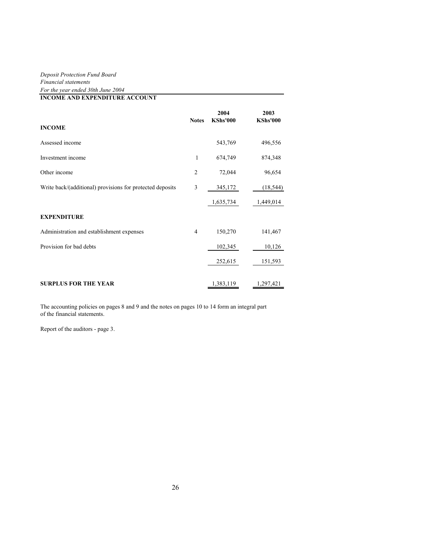## *Deposit Protection Fund Board Financial statements For the year ended 30th June 2004*

**INCOME AND EXPENDITURE ACCOUNT**

|                                                           | <b>Notes</b> | 2004<br><b>KShs'000</b> | 2003<br><b>KShs'000</b> |
|-----------------------------------------------------------|--------------|-------------------------|-------------------------|
| <b>INCOME</b>                                             |              |                         |                         |
| Assessed income                                           |              | 543,769                 | 496,556                 |
| Investment income                                         | 1            | 674,749                 | 874,348                 |
| Other income                                              | 2            | 72,044                  | 96,654                  |
| Write back/(additional) provisions for protected deposits | 3            | 345,172                 | (18, 544)               |
|                                                           |              | 1,635,734               | 1,449,014               |
| <b>EXPENDITURE</b>                                        |              |                         |                         |
| Administration and establishment expenses                 | 4            | 150,270                 | 141,467                 |
| Provision for bad debts                                   |              | 102,345                 | 10,126                  |
|                                                           |              | 252,615                 | 151,593                 |
|                                                           |              |                         |                         |
| <b>SURPLUS FOR THE YEAR</b>                               |              | 1,383,119               | 1,297,421               |

The accounting policies on pages 8 and 9 and the notes on pages 10 to 14 form an integral part of the financial statements.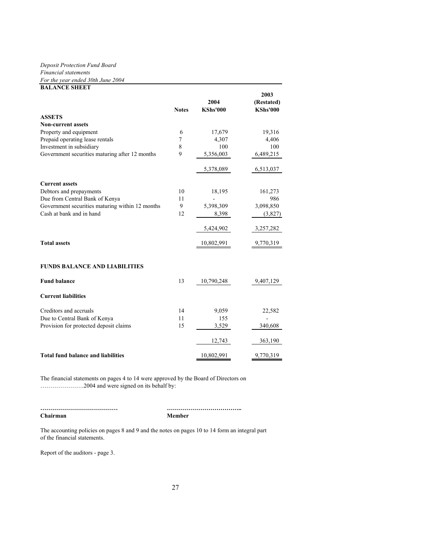## *Deposit Protection Fund Board*

*Financial statements*

| For the year ended 30th June 2004               |              |                         |                                       |
|-------------------------------------------------|--------------|-------------------------|---------------------------------------|
| <b>BALANCE SHEET</b>                            | <b>Notes</b> | 2004<br><b>KShs'000</b> | 2003<br>(Restated)<br><b>KShs'000</b> |
| <b>ASSETS</b>                                   |              |                         |                                       |
| <b>Non-current assets</b>                       |              |                         |                                       |
| Property and equipment                          | 6            | 17,679                  | 19,316                                |
| Prepaid operating lease rentals                 | $\tau$       | 4,307                   | 4,406                                 |
| Investment in subsidiary                        | 8            | 100                     | 100                                   |
| Government securities maturing after 12 months  | 9            | 5,356,003               | 6,489,215                             |
|                                                 |              | 5,378,089               | 6,513,037                             |
| <b>Current assets</b>                           |              |                         |                                       |
| Debtors and prepayments                         | 10           | 18,195                  | 161,273                               |
| Due from Central Bank of Kenya                  | 11           |                         | 986                                   |
| Government securities maturing within 12 months | 9            | 5,398,309               | 3,098,850                             |
| Cash at bank and in hand                        | 12           | 8,398                   | (3,827)                               |
|                                                 |              | 5,424,902               | 3,257,282                             |
| <b>Total assets</b>                             |              | 10,802,991              | 9,770,319                             |
| <b>FUNDS BALANCE AND LIABILITIES</b>            |              |                         |                                       |
| <b>Fund balance</b>                             | 13           | 10,790,248              | 9,407,129                             |
| <b>Current liabilities</b>                      |              |                         |                                       |
| Creditors and accruals                          | 14           | 9,059                   | 22,582                                |
| Due to Central Bank of Kenya                    | 11           | 155                     |                                       |
| Provision for protected deposit claims          | 15           | 3,529                   | 340,608                               |
|                                                 |              | 12,743                  | 363,190                               |
| <b>Total fund balance and liabilities</b>       |              | 10,802,991              | 9,770,319                             |
|                                                 |              |                         |                                       |

The financial statements on pages 4 to 14 were approved by the Board of Directors on ………………….2004 and were signed on its behalf by:

**………………………………… ……………………………….. Chairman Member**

The accounting policies on pages 8 and 9 and the notes on pages 10 to 14 form an integral part of the financial statements.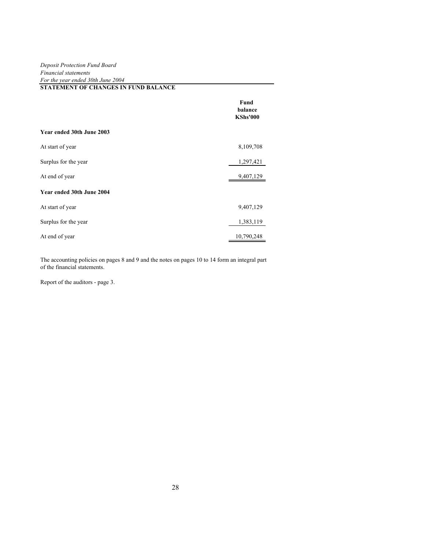### *Deposit Protection Fund Board Financial statements For the year ended 30th June 2004* **STATEMENT OF CHANGES IN FUND BALANCE**

|                           | Fund<br>balance<br><b>KShs'000</b> |
|---------------------------|------------------------------------|
| Year ended 30th June 2003 |                                    |
| At start of year          | 8,109,708                          |
| Surplus for the year      | 1,297,421                          |
| At end of year            | 9,407,129                          |
| Year ended 30th June 2004 |                                    |
| At start of year          | 9,407,129                          |
| Surplus for the year      | 1,383,119                          |
| At end of year            | 10,790,248                         |

The accounting policies on pages 8 and 9 and the notes on pages 10 to 14 form an integral part of the financial statements.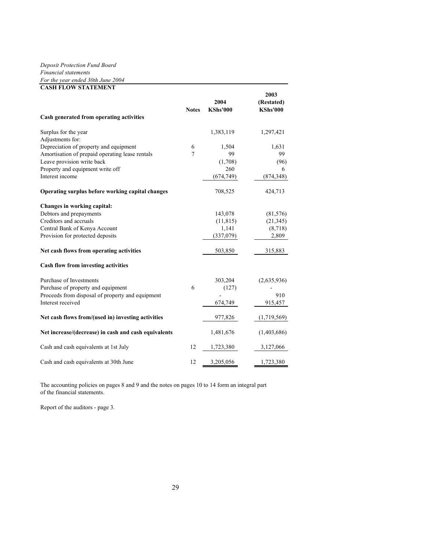## *Deposit Protection Fund Board Financial statements For the year ended 30th June 2004*

| <b>CASH FLOW STATEMENT</b>                           |              |                         |                                       |
|------------------------------------------------------|--------------|-------------------------|---------------------------------------|
|                                                      | <b>Notes</b> | 2004<br><b>KShs'000</b> | 2003<br>(Restated)<br><b>KShs'000</b> |
| Cash generated from operating activities             |              |                         |                                       |
| Surplus for the year                                 |              | 1,383,119               | 1,297,421                             |
| Adjustments for:                                     |              |                         |                                       |
| Depreciation of property and equipment               | 6            | 1,504                   | 1,631                                 |
| Amortisation of prepaid operating lease rentals      | 7            | 99                      | 99                                    |
| Leave provision write back                           |              | (1,708)                 | (96)                                  |
| Property and equipment write off                     |              | 260                     | 6                                     |
| Interest income                                      |              | (674, 749)              | (874, 348)                            |
| Operating surplus before working capital changes     |              | 708,525                 | 424,713                               |
| Changes in working capital:                          |              |                         |                                       |
| Debtors and prepayments                              |              | 143,078                 | (81, 576)                             |
| Creditors and accruals                               |              | (11, 815)               | (21, 345)                             |
| Central Bank of Kenya Account                        |              | 1,141                   | (8,718)                               |
| Provision for protected deposits                     |              | (337,079)               | 2,809                                 |
| Net cash flows from operating activities             |              | 503,850                 | 315,883                               |
| Cash flow from investing activities                  |              |                         |                                       |
| Purchase of Investments                              |              | 303,204                 | (2,635,936)                           |
| Purchase of property and equipment                   | 6            | (127)                   |                                       |
| Proceeds from disposal of property and equipment     |              |                         | 910                                   |
| Interest received                                    |              | 674,749                 | 915,457                               |
| Net cash flows from/(used in) investing activities   |              | 977,826                 | (1,719,569)                           |
| Net increase/(decrease) in cash and cash equivalents |              | 1,481,676               | (1,403,686)                           |
| Cash and cash equivalents at 1st July                | 12           | 1,723,380               | 3,127,066                             |
| Cash and cash equivalents at 30th June               | 12           | 3,205,056               | 1,723,380                             |

The accounting policies on pages 8 and 9 and the notes on pages 10 to 14 form an integral part of the financial statements.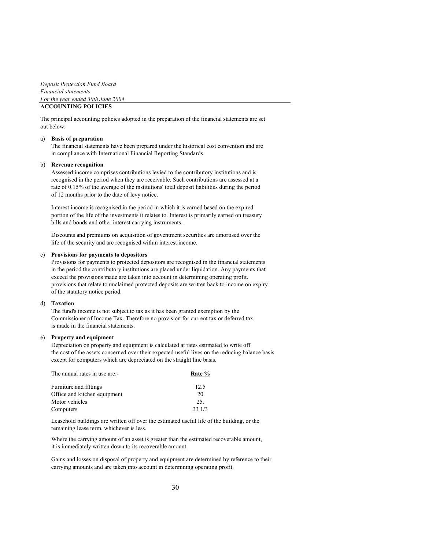*Deposit Protection Fund Board Financial statements For the year ended 30th June 2004*

## **ACCOUNTING POLICIES**

The principal accounting policies adopted in the preparation of the financial statements are set out below:

#### a) **Basis of preparation**

The financial statements have been prepared under the historical cost convention and are in compliance with International Financial Reporting Standards.

#### b) **Revenue recognition**

Assessed income comprises contributions levied to the contributory institutions and is recognised in the period when they are receivable. Such contributions are assessed at a rate of 0.15% of the average of the institutions' total deposit liabilities during the period of 12 months prior to the date of levy notice.

Interest income is recognised in the period in which it is earned based on the expired portion of the life of the investments it relates to. Interest is primarily earned on treasury bills and bonds and other interest carrying instruments.

Discounts and premiums on acquisition of goventment securities are amortised over the life of the security and are recognised within interest income.

#### c) **Provisions for payments to depositors**

Provisions for payments to protected depositors are recognised in the financial statements in the period the contributory institutions are placed under liquidation. Any payments that exceed the provisions made are taken into account in determining operating profit. provisions that relate to unclaimed protected deposits are written back to income on expiry of the statutory notice period.

#### d) **Taxation**

The fund's income is not subject to tax as it has been granted exemption by the Commissioner of Income Tax. Therefore no provision for current tax or deferred tax is made in the financial statements.

#### e) **Property and equipment**

Depreciation on property and equipment is calculated at rates estimated to write off the cost of the assets concerned over their expected useful lives on the reducing balance basis except for computers which are depreciated on the straight line basis.

| The annual rates in use are:- | Rate % |
|-------------------------------|--------|
| Furniture and fittings        | 12.5   |
| Office and kitchen equipment  | 20     |
| Motor vehicles                | 25.    |
| Computers                     | 33 1/3 |

Leasehold buildings are written off over the estimated useful life of the building, or the remaining lease term, whichever is less.

Where the carrying amount of an asset is greater than the estimated recoverable amount, it is immediately written down to its recoverable amount.

Gains and losses on disposal of property and equipment are determined by reference to their carrying amounts and are taken into account in determining operating profit.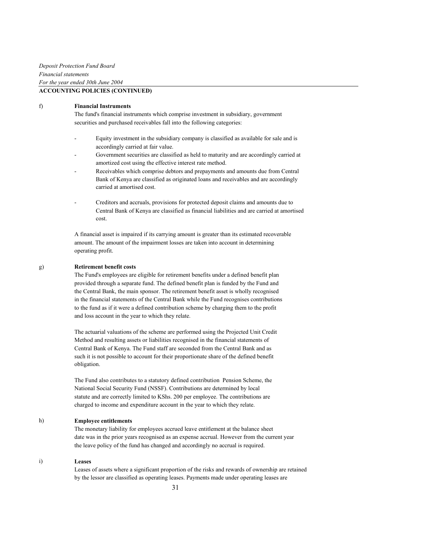#### f) **Financial Instruments**

 The fund's financial instruments which comprise investment in subsidiary, government securities and purchased receivables fall into the following categories:

- Equity investment in the subsidiary company is classified as available for sale and is accordingly carried at fair value.
- Government securities are classified as held to maturity and are accordingly carried at amortized cost using the effective interest rate method.
- Receivables which comprise debtors and prepayments and amounts due from Central Bank of Kenya are classified as originated loans and receivables and are accordingly carried at amortised cost.
- Creditors and accruals, provisions for protected deposit claims and amounts due to Central Bank of Kenya are classified as financial liabilities and are carried at amortised cost.

 A financial asset is impaired if its carrying amount is greater than its estimated recoverable amount. The amount of the impairment losses are taken into account in determining operating profit.

#### g) **Retirement benefit costs**

 The Fund's employees are eligible for retirement benefits under a defined benefit plan provided through a separate fund. The defined benefit plan is funded by the Fund and the Central Bank, the main sponsor. The retirement benefit asset is wholly recognised in the financial statements of the Central Bank while the Fund recognises contributions to the fund as if it were a defined contribution scheme by charging them to the profit and loss account in the year to which they relate.

 The actuarial valuations of the scheme are performed using the Projected Unit Credit Method and resulting assets or liabilities recognised in the financial statements of Central Bank of Kenya. The Fund staff are seconded from the Central Bank and as such it is not possible to account for their proportionate share of the defined benefit obligation.

 The Fund also contributes to a statutory defined contribution Pension Scheme, the National Social Security Fund (NSSF). Contributions are determined by local statute and are correctly limited to KShs. 200 per employee. The contributions are charged to income and expenditure account in the year to which they relate.

#### h) **Employee entitlements**

 The monetary liability for employees accrued leave entitlement at the balance sheet date was in the prior years recognised as an expense accrual. However from the current year the leave policy of the fund has changed and accordingly no accrual is required.

#### i) **Leases**

 Leases of assets where a significant proportion of the risks and rewards of ownership are retained by the lessor are classified as operating leases. Payments made under operating leases are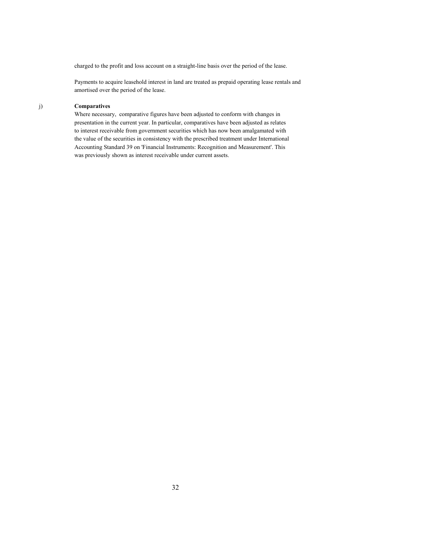charged to the profit and loss account on a straight-line basis over the period of the lease.

 Payments to acquire leasehold interest in land are treated as prepaid operating lease rentals and amortised over the period of the lease.

## j) **Comparatives**

 Where necessary, comparative figures have been adjusted to conform with changes in presentation in the current year. In particular, comparatives have been adjusted as relates to interest receivable from government securities which has now been amalgamated with the value of the securities in consistency with the prescribed treatment under International Accounting Standard 39 on 'Financial Instruments: Recognition and Measurement'. This was previously shown as interest receivable under current assets.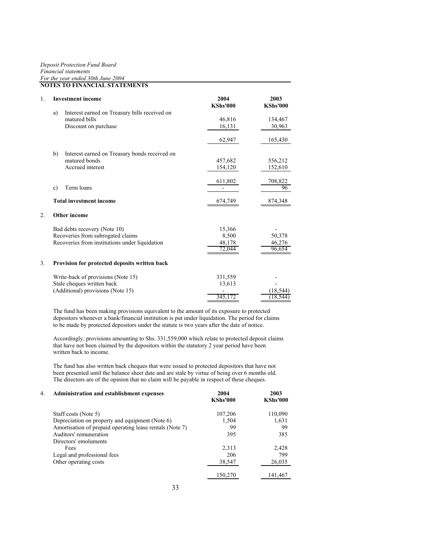#### *Deposit Protection Fund Board Financial statements For the year ended 30th June 2004* **NOTES TO FINANCIAL STATEMENTS**

|    |              | NOTES TO FINANCIAL STATEMENTS                  |                         |                         |
|----|--------------|------------------------------------------------|-------------------------|-------------------------|
| 1. |              | <b>Investment income</b>                       | 2004<br><b>KShs'000</b> | 2003<br><b>KShs'000</b> |
|    | a)           | Interest earned on Treasury bills received on  |                         |                         |
|    |              | matured bills                                  | 46,816                  | 134,467                 |
|    |              | Discount on purchase                           | 16,131                  | 30,963                  |
|    |              |                                                | 62,947                  | 165,430                 |
|    | b)           | Interest earned on Treasury bonds received on  |                         |                         |
|    |              | matured bonds                                  | 457,682                 | 556,212                 |
|    |              | Accrued interest                               | 154,120                 | 152,610                 |
|    |              |                                                |                         |                         |
|    |              |                                                | 611,802                 | 708,822                 |
|    | $\mathbf{c}$ | Term loans                                     |                         | 96                      |
|    |              | <b>Total investment income</b>                 | 674,749                 | 874,348                 |
| 2. |              | Other income                                   |                         |                         |
|    |              | Bad debts recovery (Note 10)                   | 15,366                  |                         |
|    |              | Recoveries from subrogated claims              | 8,500                   | 50,378                  |
|    |              | Recoveries from institutions under liquidation | 48,178                  | 46,276                  |
|    |              |                                                | 72.044                  | 96,654                  |
| 3. |              | Provision for protected deposits written back  |                         |                         |
|    |              | Write-back of provisions (Note 15)             | 331,559                 |                         |
|    |              | Stale cheques written back                     | 13,613                  |                         |
|    |              | (Additional) provisions (Note 15)              |                         | (18.544)                |
|    |              |                                                | 345.17                  | 18                      |

The fund has been making provisions equivalent to the amount of its exposure to protected depositors whenever a bank/financial institution is put under liquidation. The period for claims to be made by protected depositors under the statute is two years after the date of notice.

Accordingly, provisions amounting to Shs. 331,559,000 which relate to protected deposit claims that have not been claimed by the depositors within the statutory 2 year period have been written back to income.

The fund has also written back cheques that were issued to protected depositors that have not been presented until the balance sheet date and are stale by virtue of being over 6 months old. The directors are of the opinion that no claim will be payable in respect of these cheques.

| $4_{\cdot}$ | Administration and establishment expenses                | 2004<br><b>KShs'000</b> | 2003<br><b>KShs'000</b> |
|-------------|----------------------------------------------------------|-------------------------|-------------------------|
|             | Staff costs (Note 5)                                     | 107,206                 | 110,090                 |
|             | Depreciation on property and equipment (Note 6)          | 1,504                   | 1,631                   |
|             | Amortisation of prepaid operating lease rentals (Note 7) | 99                      | 99                      |
|             | Auditors' remuneration                                   | 395                     | 385                     |
|             | Directors' emoluments                                    |                         |                         |
|             | Fees                                                     | 2,313                   | 2,428                   |
|             | Legal and professional fees                              | 206                     | 799                     |
|             | Other operating costs                                    | 38,547                  | 26,035                  |
|             |                                                          | 150,270                 | 141,467                 |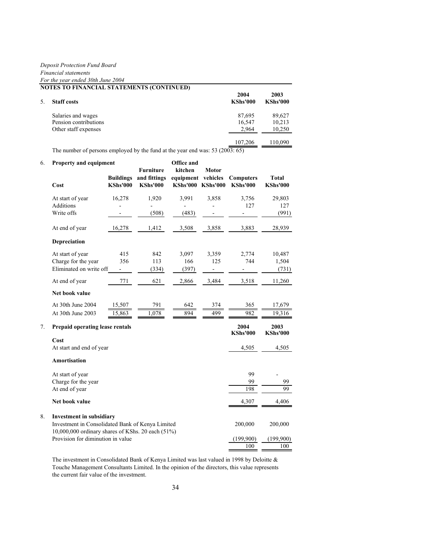*Deposit Protection Fund Board*

#### *Financial statements For the year ended 30th June 2004*

| <b>NOTES TO FINANCIAL STATEMENTS (CONTINUED)</b> |                         |                         |  |  |
|--------------------------------------------------|-------------------------|-------------------------|--|--|
| <b>Staff</b> costs                               | 2004<br><b>KShs'000</b> | 2003<br><b>KShs'000</b> |  |  |
| Salaries and wages                               | 87,695                  | 89,627                  |  |  |
| Pension contributions                            | 16,547                  | 10,213                  |  |  |
| Other staff expenses                             | 2.964                   | 10,250                  |  |  |
|                                                  | 107,206                 | 110,090                 |  |  |

The number of persons employed by the fund at the year end was: 53 (200 $\overline{3:65}$ )

| 6. | Property and equipment                                                                 |                                     | <b>Furniture</b>                | <b>Office and</b><br>kitchen                   | <b>Motor</b> |                                     |                                 |
|----|----------------------------------------------------------------------------------------|-------------------------------------|---------------------------------|------------------------------------------------|--------------|-------------------------------------|---------------------------------|
|    | Cost                                                                                   | <b>Buildings</b><br><b>KShs'000</b> | and fittings<br><b>KShs'000</b> | equipment vehicles<br><b>KShs'000 KShs'000</b> |              | <b>Computers</b><br><b>KShs'000</b> | <b>Total</b><br><b>KShs'000</b> |
|    | At start of year                                                                       | 16,278                              | 1,920                           | 3,991                                          | 3,858        | 3,756                               | 29,803                          |
|    | Additions                                                                              |                                     |                                 |                                                |              | 127                                 | 127                             |
|    | Write offs                                                                             |                                     | (508)                           | (483)                                          |              |                                     | (991)                           |
|    | At end of year                                                                         | 16,278                              | 1,412                           | 3,508                                          | 3,858        | 3,883                               | 28,939                          |
|    | <b>Depreciation</b>                                                                    |                                     |                                 |                                                |              |                                     |                                 |
|    | At start of year                                                                       | 415                                 | 842                             | 3,097                                          | 3,359        | 2,774                               | 10,487                          |
|    | Charge for the year                                                                    | 356                                 | 113                             | 166                                            | 125          | 744                                 | 1,504                           |
|    | Eliminated on write off                                                                |                                     | (334)                           | (397)                                          |              |                                     | (731)                           |
|    | At end of year                                                                         | 771                                 | 621                             | 2,866                                          | 3,484        | 3,518                               | 11,260                          |
|    | Net book value                                                                         |                                     |                                 |                                                |              |                                     |                                 |
|    | At 30th June 2004                                                                      | 15,507                              | 791                             | 642                                            | 374          | 365                                 | 17,679                          |
|    | At 30th June 2003                                                                      | 15,863                              | 1,078                           | 894                                            | 499          | 982                                 | 19,316                          |
| 7. | Prepaid operating lease rentals                                                        |                                     |                                 |                                                |              | 2004<br><b>KShs'000</b>             | 2003<br><b>KShs'000</b>         |
|    | Cost                                                                                   |                                     |                                 |                                                |              |                                     |                                 |
|    | At start and end of year                                                               |                                     |                                 |                                                |              | 4,505                               | 4,505                           |
|    | <b>Amortisation</b>                                                                    |                                     |                                 |                                                |              |                                     |                                 |
|    | At start of year                                                                       |                                     |                                 |                                                |              | 99                                  |                                 |
|    | Charge for the year                                                                    |                                     |                                 |                                                |              | 99                                  | 99                              |
|    | At end of year                                                                         |                                     |                                 |                                                |              | 198                                 | 99                              |
|    | Net book value                                                                         |                                     |                                 |                                                |              | 4,307                               | 4,406                           |
| 8. | <b>Investment in subsidiary</b>                                                        |                                     |                                 |                                                |              |                                     |                                 |
|    | Investment in Consolidated Bank of Kenya Limited                                       |                                     |                                 |                                                |              | 200,000                             | 200,000                         |
|    | 10,000,000 ordinary shares of KShs. 20 each (51%)<br>Provision for diminution in value |                                     |                                 |                                                |              | (199, 900)                          | (199,900)                       |
|    |                                                                                        |                                     |                                 |                                                |              | 100                                 | 100                             |

The investment in Consolidated Bank of Kenya Limited was last valued in 1998 by Deloitte  $\&$ Touche Management Consultants Limited. In the opinion of the directors, this value represents the current fair value of the investment.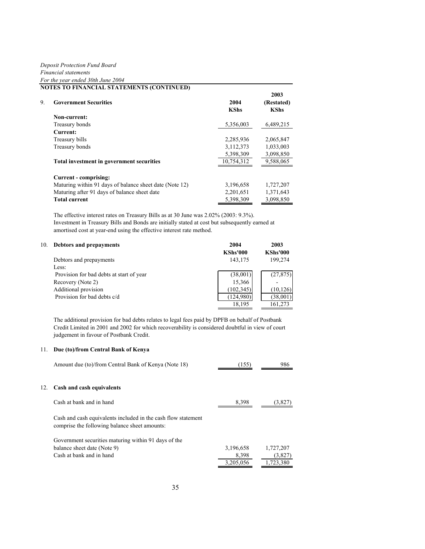## *Deposit Protection Fund Board Financial statements For the year ended 30th June 2004*

|    | <b>NOTES TO FINANCIAL STATEMENTS (CONTINUED)</b>        |                     |                                   |
|----|---------------------------------------------------------|---------------------|-----------------------------------|
| 9. | <b>Government Securities</b>                            | 2004<br><b>KShs</b> | 2003<br>(Restated)<br><b>KShs</b> |
|    | Non-current:                                            |                     |                                   |
|    | Treasury bonds                                          | 5,356,003           | 6,489,215                         |
|    | Current:                                                |                     |                                   |
|    | Treasury bills                                          | 2,285,936           | 2,065,847                         |
|    | Treasury bonds                                          | 3,112,373           | 1,033,003                         |
|    |                                                         | 5,398,309           | 3,098,850                         |
|    | Total investment in government securities               | 10.754.312          | 9,588,065                         |
|    | Current - comprising:                                   |                     |                                   |
|    | Maturing within 91 days of balance sheet date (Note 12) | 3,196,658           | 1,727,207                         |
|    | Maturing after 91 days of balance sheet date            | 2,201,651           | 1,371,643                         |
|    | <b>Total current</b>                                    | 5,398,309           | 3,098,850                         |

The effective interest rates on Treasury Bills as at 30 June was 2.02% (2003: 9.3%). Investment in Treasury Bills and Bonds are initially stated at cost but subsequently earned at amortised cost at year-end using the effective interest rate method.

| 10. | <b>Debtors and prepayments</b>           | 2004            | 2003            |
|-----|------------------------------------------|-----------------|-----------------|
|     |                                          | <b>KShs'000</b> | <b>KShs'000</b> |
|     | Debtors and prepayments                  | 143,175         | 199,274         |
|     | Less:                                    |                 |                 |
|     | Provision for bad debts at start of year | (38,001)        | (27, 875)       |
|     | Recovery (Note 2)                        | 15,366          |                 |
|     | Additional provision                     | (102, 345)      | (10, 126)       |
|     | Provision for bad debts c/d              | (124,980)       | (38,001)        |
|     |                                          | 18,195          | 161,273         |

The additional provision for bad debts relates to legal fees paid by DPFB on behalf of Postbank Credit Limited in 2001 and 2002 for which recoverability is considered doubtful in view of court judgement in favour of Postbank Credit.

#### 11. **Due (to)/from Central Bank of Kenya**

|     | Amount due (to)/from Central Bank of Kenya (Note 18)                                                           | (155)     | 986       |
|-----|----------------------------------------------------------------------------------------------------------------|-----------|-----------|
| 12. | Cash and cash equivalents                                                                                      |           |           |
|     | Cash at bank and in hand                                                                                       | 8,398     | (3,827)   |
|     | Cash and cash equivalents included in the cash flow statement<br>comprise the following balance sheet amounts: |           |           |
|     | Government securities maturing within 91 days of the                                                           |           |           |
|     | balance sheet date (Note 9)                                                                                    | 3,196,658 | 1,727,207 |
|     | Cash at bank and in hand                                                                                       | 8,398     | (3,827)   |
|     |                                                                                                                | 3.205.056 | 1,723,380 |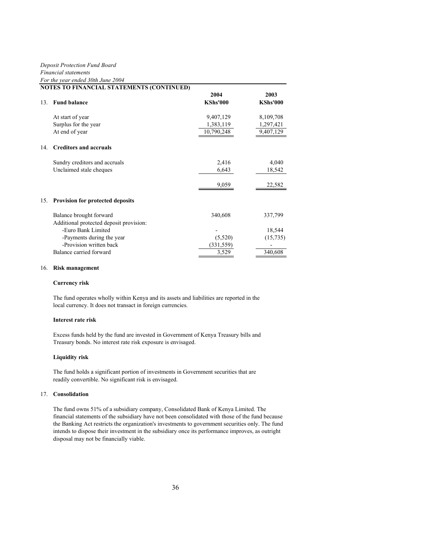|                 | NOTES TO FINANCIAL STATEMENTS (CONTINUED)                          |                         |                         |
|-----------------|--------------------------------------------------------------------|-------------------------|-------------------------|
| 13 <sup>7</sup> | <b>Fund balance</b>                                                | 2004<br><b>KShs'000</b> | 2003<br><b>KShs'000</b> |
|                 | At start of year                                                   | 9,407,129               | 8,109,708               |
|                 | Surplus for the year                                               | 1,383,119               | 1,297,421               |
|                 | At end of year                                                     | 10,790,248              | 9,407,129               |
| 14.             | <b>Creditors and accruals</b>                                      |                         |                         |
|                 | Sundry creditors and accruals                                      | 2,416                   | 4,040                   |
|                 | Unclaimed stale cheques                                            | 6,643                   | 18,542                  |
|                 |                                                                    | 9,059                   | 22,582                  |
|                 | 15. Provision for protected deposits                               |                         |                         |
|                 | Balance brought forward<br>Additional protected deposit provision: | 340,608                 | 337,799                 |
|                 | -Euro Bank Limited                                                 |                         | 18,544                  |
|                 | -Payments during the year                                          | (5,520)                 | (15, 735)               |
|                 | -Provision written back                                            | (331,559)               |                         |
|                 | Balance carried forward                                            | 3,529                   | 340,608                 |

#### 16. **Risk management**

#### **Currency risk**

The fund operates wholly within Kenya and its assets and liabilities are reported in the local currency. It does not transact in foreign currencies.

#### **Interest rate risk**

Excess funds held by the fund are invested in Government of Kenya Treasury bills and Treasury bonds. No interest rate risk exposure is envisaged.

#### **Liquidity risk**

The fund holds a significant portion of investments in Government securities that are readily convertible. No significant risk is envisaged.

#### 17. **Consolidation**

The fund owns 51% of a subsidiary company, Consolidated Bank of Kenya Limited. The financial statements of the subsidiary have not been consolidated with those of the fund because the Banking Act restricts the organization's investments to government securities only. The fund intends to dispose their investment in the subsidiary once its performance improves, as outright disposal may not be financially viable.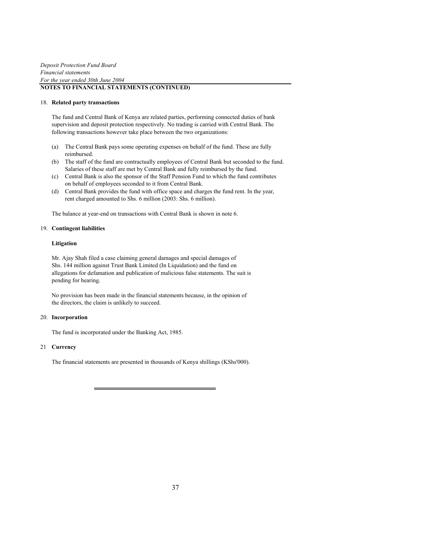#### 18. **Related party transactions**

The fund and Central Bank of Kenya are related parties, performing connected duties of bank supervision and deposit protection respectively. No trading is carried with Central Bank. The following transactions however take place between the two organizations:

- (a) The Central Bank pays some operating expenses on behalf of the fund. These are fully reimbursed.
- (b) The staff of the fund are contractually employees of Central Bank but seconded to the fund. Salaries of these staff are met by Central Bank and fully reimbursed by the fund.
- (c) Central Bank is also the sponsor of the Staff Pension Fund to which the fund contributes on behalf of employees seconded to it from Central Bank.
- (d) Central Bank provides the fund with office space and charges the fund rent. In the year, rent charged amounted to Shs. 6 million (2003: Shs. 6 million).

The balance at year-end on transactions with Central Bank is shown in note 6.

#### 19. **Contingent liabilities**

#### **Litigation**

Mr. Ajay Shah filed a case claiming general damages and special damages of Shs. 144 million against Trust Bank Limited (In Liquidation) and the fund on allegations for defamation and publication of malicious false statements. The suit is pending for hearing.

No provision has been made in the financial statements because, in the opinion of the directors, the claim is unlikely to succeed.

#### 20. **Incorporation**

The fund is incorporated under the Banking Act, 1985.

#### 21 **Currency**

The financial statements are presented in thousands of Kenya shillings (KShs'000).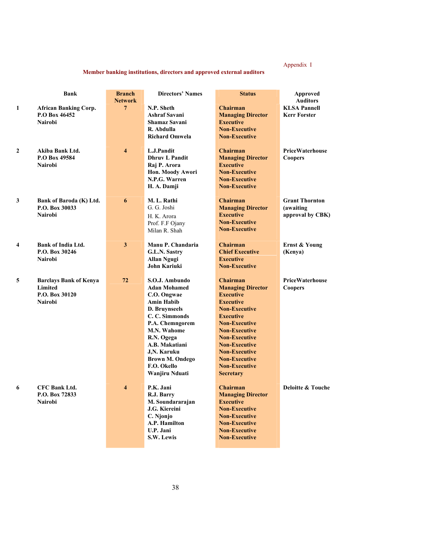## Appendix I

## **Member banking institutions, directors and approved external auditors**

|              | Bank                                                                         | <b>Branch</b><br><b>Network</b> | <b>Directors' Names</b>                                                                                                                                                                                                                                                | <b>Status</b>                                                                                                                                                                                                                                                                                                               | Approved<br><b>Auditors</b>                                    |
|--------------|------------------------------------------------------------------------------|---------------------------------|------------------------------------------------------------------------------------------------------------------------------------------------------------------------------------------------------------------------------------------------------------------------|-----------------------------------------------------------------------------------------------------------------------------------------------------------------------------------------------------------------------------------------------------------------------------------------------------------------------------|----------------------------------------------------------------|
| 1            | <b>African Banking Corp.</b><br>P.O Box 46452<br><b>Nairobi</b>              | 7                               | N.P. Sheth<br><b>Ashraf Savani</b><br><b>Shamaz Savani</b><br>R. Abdulla<br><b>Richard Omwela</b>                                                                                                                                                                      | <b>Chairman</b><br><b>Managing Director</b><br><b>Executive</b><br><b>Non-Executive</b><br><b>Non-Executive</b>                                                                                                                                                                                                             | <b>KLSA Pannell</b><br><b>Kerr Forster</b>                     |
| $\mathbf{2}$ | Akiba Bank Ltd.<br>P.O Box 49584<br><b>Nairobi</b>                           | $\overline{\mathbf{4}}$         | L.J.Pandit<br><b>Dhruv L Pandit</b><br>Raj P. Arora<br>Hon. Moody Awori<br>N.P.G. Warren<br>H. A. Damji                                                                                                                                                                | <b>Chairman</b><br><b>Managing Director</b><br><b>Executive</b><br><b>Non-Executive</b><br><b>Non-Executive</b><br><b>Non-Executive</b>                                                                                                                                                                                     | <b>PriceWaterhouse</b><br><b>Coopers</b>                       |
| 3            | Bank of Baroda (K) Ltd.<br>P.O. Box 30033<br><b>Nairobi</b>                  | 6                               | M. L. Rathi<br>G. G. Joshi<br>H. K. Arora<br>Prof. F.F Ojany<br>Milan R. Shah                                                                                                                                                                                          | <b>Chairman</b><br><b>Managing Director</b><br><b>Executive</b><br><b>Non-Executive</b><br><b>Non-Executive</b>                                                                                                                                                                                                             | <b>Grant Thornton</b><br><i>(awaiting)</i><br>approval by CBK) |
| 4            | <b>Bank of India Ltd.</b><br>P.O. Box 30246<br><b>Nairobi</b>                | 3                               | Manu P. Chandaria<br>G.L.N. Sastry<br><b>Allan Ngugi</b><br>John Kariuki                                                                                                                                                                                               | <b>Chairman</b><br><b>Chief Executive</b><br><b>Executive</b><br><b>Non-Executive</b>                                                                                                                                                                                                                                       | Ernst & Young<br>(Kenya)                                       |
| 5            | <b>Barclays Bank of Kenya</b><br>Limited<br>P.O. Box 30120<br><b>Nairobi</b> | 72                              | S.O.J. Ambundo<br><b>Adan Mohamed</b><br>C.O. Ongwae<br><b>Amin Habib</b><br><b>D. Bruvnseels</b><br>C. C. Simmonds<br>P.A. Chemngorem<br><b>M.N. Wahome</b><br>R.N. Ogega<br>A.B. Makatiani<br>J.N. Karuku<br><b>Brown M. Ondego</b><br>F.O. Okello<br>Wanjiru Nduati | <b>Chairman</b><br><b>Managing Director</b><br><b>Executive</b><br><b>Executive</b><br><b>Non-Executive</b><br><b>Executive</b><br><b>Non-Executive</b><br><b>Non-Executive</b><br><b>Non-Executive</b><br><b>Non-Executive</b><br><b>Non-Executive</b><br><b>Non-Executive</b><br><b>Non-Executive</b><br><b>Secretary</b> | PriceWaterhouse<br><b>Coopers</b>                              |
| 6            | <b>CFC Bank Ltd.</b><br>P.O. Box 72833<br><b>Nairobi</b>                     | $\overline{\mathbf{4}}$         | P.K. Jani<br>R.J. Barry<br>M. Soundararajan<br>J.G. Kiereini<br>C. Njonjo<br>A.P. Hamilton<br>U.P. Jani<br>S.W. Lewis                                                                                                                                                  | <b>Chairman</b><br><b>Managing Director</b><br><b>Executive</b><br><b>Non-Executive</b><br><b>Non-Executive</b><br><b>Non-Executive</b><br><b>Non-Executive</b><br><b>Non-Executive</b>                                                                                                                                     | <b>Deloitte &amp; Touche</b>                                   |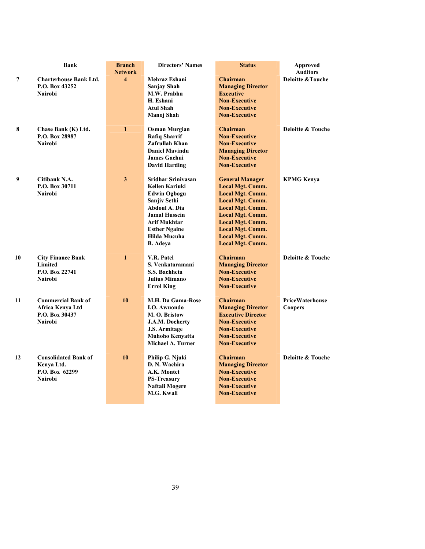|                | <b>Bank</b>                   | <b>Branch</b>           | <b>Directors' Names</b>   | <b>Status</b>             | <b>Approved</b>              |
|----------------|-------------------------------|-------------------------|---------------------------|---------------------------|------------------------------|
|                |                               | <b>Network</b>          |                           |                           | <b>Auditors</b>              |
| $\overline{7}$ | <b>Charterhouse Bank Ltd.</b> | $\overline{\mathbf{4}}$ | <b>Mehraz Eshani</b>      | <b>Chairman</b>           | <b>Deloitte &amp; Touche</b> |
|                | P.O. Box 43252                |                         | <b>Sanjay Shah</b>        | <b>Managing Director</b>  |                              |
|                | <b>Nairobi</b>                |                         | M.W. Prabhu               | <b>Executive</b>          |                              |
|                |                               |                         | H. Eshani                 | <b>Non-Executive</b>      |                              |
|                |                               |                         | <b>Atul Shah</b>          | <b>Non-Executive</b>      |                              |
|                |                               |                         | Manoj Shah                | <b>Non-Executive</b>      |                              |
|                |                               |                         |                           |                           |                              |
| 8              | Chase Bank (K) Ltd.           | $\mathbf{1}$            | <b>Osman Murgian</b>      | <b>Chairman</b>           | <b>Deloitte &amp; Touche</b> |
|                | P.O. Box 28987                |                         | <b>Rafiq Sharrif</b>      | <b>Non-Executive</b>      |                              |
|                | <b>Nairobi</b>                |                         | Zafrullah Khan            | <b>Non-Executive</b>      |                              |
|                |                               |                         | <b>Daniel Mavindu</b>     | <b>Managing Director</b>  |                              |
|                |                               |                         | <b>James Gachui</b>       | <b>Non-Executive</b>      |                              |
|                |                               |                         | <b>David Harding</b>      | <b>Non-Executive</b>      |                              |
|                |                               |                         |                           |                           |                              |
| 9              | Citibank N.A.                 | $\overline{\mathbf{3}}$ | <b>Sridhar Srinivasan</b> | <b>General Manager</b>    | <b>KPMG Kenya</b>            |
|                | P.O. Box 30711                |                         | <b>Kellen Kariuki</b>     | <b>Local Mgt. Comm.</b>   |                              |
|                | <b>Nairobi</b>                |                         | <b>Edwin Ogbogu</b>       | <b>Local Mgt. Comm.</b>   |                              |
|                |                               |                         | Sanjiv Sethi              | <b>Local Mgt. Comm.</b>   |                              |
|                |                               |                         | <b>Abdoul A. Dia</b>      | <b>Local Mgt. Comm.</b>   |                              |
|                |                               |                         | <b>Jamal Hussein</b>      | <b>Local Mgt. Comm.</b>   |                              |
|                |                               |                         | <b>Arif Mukhtar</b>       | <b>Local Mgt. Comm.</b>   |                              |
|                |                               |                         | <b>Esther Ngaine</b>      | <b>Local Mgt. Comm.</b>   |                              |
|                |                               |                         | Hilda Mucuha              | <b>Local Mgt. Comm.</b>   |                              |
|                |                               |                         | <b>B.</b> Adeya           | <b>Local Mgt. Comm.</b>   |                              |
|                |                               |                         |                           |                           |                              |
| 10             | <b>City Finance Bank</b>      | $\mathbf{1}$            | V.R. Patel                | <b>Chairman</b>           | <b>Deloitte &amp; Touche</b> |
|                | Limited                       |                         | S. Venkataramani          | <b>Managing Director</b>  |                              |
|                | P.O. Box 22741                |                         | S.S. Bachheta             | <b>Non-Executive</b>      |                              |
|                | <b>Nairobi</b>                |                         | <b>Julius Mimano</b>      | <b>Non-Executive</b>      |                              |
|                |                               |                         | <b>Errol King</b>         | <b>Non-Executive</b>      |                              |
|                |                               |                         |                           |                           |                              |
| 11             | <b>Commercial Bank of</b>     | 10                      | M.H. Da Gama-Rose         | <b>Chairman</b>           | <b>PriceWaterhouse</b>       |
|                | Africa Kenya Ltd              |                         | I.O. Awuondo              | <b>Managing Director</b>  | Coopers                      |
|                | P.O. Box 30437                |                         | M. O. Bristow             | <b>Executive Director</b> |                              |
|                | <b>Nairobi</b>                |                         | J.A.M. Docherty           | <b>Non-Executive</b>      |                              |
|                |                               |                         | J.S. Armitage             | <b>Non-Executive</b>      |                              |
|                |                               |                         | <b>Muhoho Kenyatta</b>    | <b>Non-Executive</b>      |                              |
|                |                               |                         | Michael A. Turner         | <b>Non-Executive</b>      |                              |
|                |                               |                         |                           |                           |                              |
| 12             | <b>Consolidated Bank of</b>   | 10                      | Philip G. Njuki           | <b>Chairman</b>           | Deloitte & Touche            |
|                | Kenya Ltd.                    |                         | D. N. Wachira             | <b>Managing Director</b>  |                              |
|                | P.O. Box 62299                |                         | A.K. Montet               | <b>Non-Executive</b>      |                              |
|                | <b>Nairobi</b>                |                         | <b>PS-Treasury</b>        | <b>Non-Executive</b>      |                              |
|                |                               |                         | Naftali Mogere            | <b>Non-Executive</b>      |                              |
|                |                               |                         | M.G. Kwali                | <b>Non-Executive</b>      |                              |
|                |                               |                         |                           |                           |                              |
|                |                               |                         |                           |                           |                              |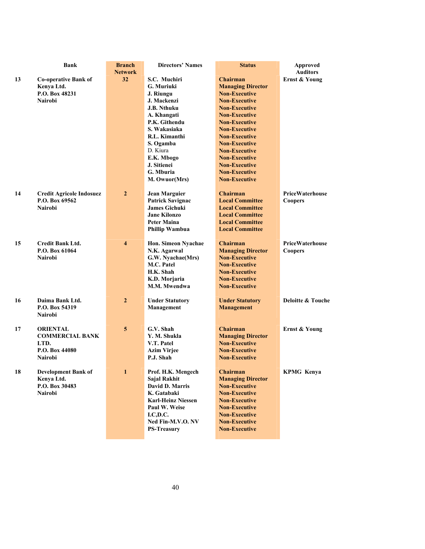|    | <b>Bank</b>                     | <b>Branch</b>           | <b>Directors' Names</b>        | <b>Status</b>            | <b>Approved</b>          |
|----|---------------------------------|-------------------------|--------------------------------|--------------------------|--------------------------|
|    |                                 | <b>Network</b>          |                                |                          | <b>Auditors</b>          |
| 13 | <b>Co-operative Bank of</b>     | 32                      | S.C. Muchiri                   | <b>Chairman</b>          | <b>Ernst &amp; Young</b> |
|    | Kenya Ltd.                      |                         | G. Muriuki                     | <b>Managing Director</b> |                          |
|    | P.O. Box 48231                  |                         | J. Riungu                      | <b>Non-Executive</b>     |                          |
|    | <b>Nairobi</b>                  |                         | J. Mackenzi                    | <b>Non-Executive</b>     |                          |
|    |                                 |                         | <b>J.B. Nthuku</b>             | <b>Non-Executive</b>     |                          |
|    |                                 |                         | A. Khangati                    | <b>Non-Executive</b>     |                          |
|    |                                 |                         | P.K. Githendu                  | <b>Non-Executive</b>     |                          |
|    |                                 |                         | S. Wakasiaka                   | <b>Non-Executive</b>     |                          |
|    |                                 |                         | R.L. Kimanthi                  | <b>Non-Executive</b>     |                          |
|    |                                 |                         | S. Ogamba                      | <b>Non-Executive</b>     |                          |
|    |                                 |                         | D. Kiura                       | <b>Non-Executive</b>     |                          |
|    |                                 |                         | E.K. Mbogo                     | <b>Non-Executive</b>     |                          |
|    |                                 |                         | J. Sitienei                    | <b>Non-Executive</b>     |                          |
|    |                                 |                         | G. Mburia                      | <b>Non-Executive</b>     |                          |
|    |                                 |                         | M. Owuor(Mrs)                  | <b>Non-Executive</b>     |                          |
|    |                                 |                         |                                |                          |                          |
| 14 | <b>Credit Agricole Indosuez</b> | $\overline{2}$          | <b>Jean Marguier</b>           | <b>Chairman</b>          | PriceWaterhouse          |
|    | P.O. Box 69562                  |                         | <b>Patrick Savignac</b>        | <b>Local Committee</b>   | <b>Coopers</b>           |
|    | <b>Nairobi</b>                  |                         | <b>James Gichuki</b>           | <b>Local Committee</b>   |                          |
|    |                                 |                         | <b>Jane Kilonzo</b>            | <b>Local Committee</b>   |                          |
|    |                                 |                         | <b>Peter Maina</b>             | <b>Local Committee</b>   |                          |
|    |                                 |                         | <b>Phillip Wambua</b>          | <b>Local Committee</b>   |                          |
|    |                                 |                         |                                |                          |                          |
| 15 | <b>Credit Bank Ltd.</b>         | $\overline{\mathbf{4}}$ | Hon. Simeon Nyachae            | <b>Chairman</b>          | <b>PriceWaterhouse</b>   |
|    | P.O. Box 61064                  |                         | N.K. Agarwal                   | <b>Managing Director</b> | <b>Coopers</b>           |
|    | <b>Nairobi</b>                  |                         | G.W. Nyachae(Mrs)              | <b>Non-Executive</b>     |                          |
|    |                                 |                         | M.C. Patel                     | <b>Non-Executive</b>     |                          |
|    |                                 |                         | H.K. Shah                      | <b>Non-Executive</b>     |                          |
|    |                                 |                         | K.D. Morjaria                  | <b>Non-Executive</b>     |                          |
|    |                                 |                         | <b>M.M. Mwendwa</b>            | <b>Non-Executive</b>     |                          |
|    |                                 |                         |                                |                          |                          |
| 16 | Daima Bank Ltd.                 | $\overline{2}$          | <b>Under Statutory</b>         | <b>Under Statutory</b>   | Deloitte & Touche        |
|    | P.O. Box 54319                  |                         | Management                     | <b>Management</b>        |                          |
|    | <b>Nairobi</b>                  |                         |                                |                          |                          |
|    |                                 |                         |                                |                          |                          |
| 17 | <b>ORIENTAL</b>                 | 5                       | G.V. Shah                      | <b>Chairman</b>          | Ernst & Young            |
|    | <b>COMMERCIAL BANK</b>          |                         | Y. M. Shukla                   | <b>Managing Director</b> |                          |
|    | LTD.                            |                         | V.T. Patel                     | <b>Non-Executive</b>     |                          |
|    | P.O. Box 44080                  |                         | <b>Azim Virjee</b>             | <b>Non-Executive</b>     |                          |
|    | <b>Nairobi</b>                  |                         | P.J. Shah                      | <b>Non-Executive</b>     |                          |
|    |                                 |                         |                                |                          |                          |
| 18 | <b>Development Bank of</b>      | 1                       | Prof. H.K. Mengech             | <b>Chairman</b>          | <b>KPMG Kenya</b>        |
|    | Kenya Ltd.                      |                         | Sajal Rakhit                   | <b>Managing Director</b> |                          |
|    | P.O. Box 30483                  |                         | David D. Marris                | <b>Non-Executive</b>     |                          |
|    | <b>Nairobi</b>                  |                         | K. Gatabaki                    | <b>Non-Executive</b>     |                          |
|    |                                 |                         | <b>Karl-Heinz Niessen</b>      | <b>Non-Executive</b>     |                          |
|    |                                 |                         | Paul W. Weise                  | <b>Non-Executive</b>     |                          |
|    |                                 |                         |                                | <b>Non-Executive</b>     |                          |
|    |                                 |                         |                                | <b>Non-Executive</b>     |                          |
|    |                                 |                         | <b>PS-Treasury</b>             | <b>Non-Executive</b>     |                          |
|    |                                 |                         |                                |                          |                          |
|    |                                 |                         | I.C, D.C.<br>Ned Fin-M.V.O. NV |                          |                          |
|    |                                 |                         |                                |                          |                          |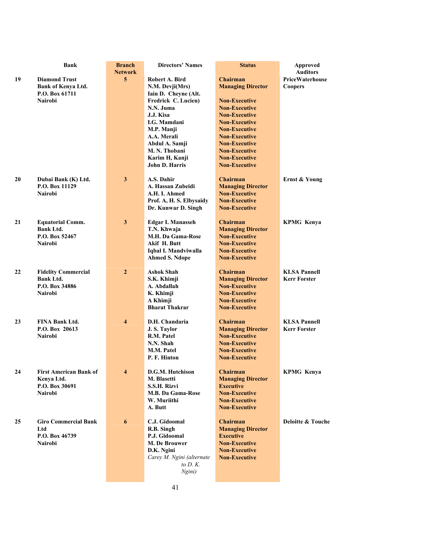|    | <b>Bank</b>                   | <b>Branch</b><br><b>Network</b> | <b>Directors' Names</b>                     | <b>Status</b>            | Approved<br><b>Auditors</b>  |
|----|-------------------------------|---------------------------------|---------------------------------------------|--------------------------|------------------------------|
| 19 | <b>Diamond Trust</b>          | 5                               | Robert A. Bird                              | <b>Chairman</b>          | PriceWaterhouse              |
|    | Bank of Kenya Ltd.            |                                 |                                             | <b>Managing Director</b> | <b>Coopers</b>               |
|    | P.O. Box 61711                |                                 | N.M. Devji(Mrs)                             |                          |                              |
|    | Nairobi                       |                                 | Iain D. Cheyne (Alt.<br>Fredrick C. Lucien) | <b>Non-Executive</b>     |                              |
|    |                               |                                 | N.N. Juma                                   | <b>Non-Executive</b>     |                              |
|    |                               |                                 | J.J. Kisa                                   | <b>Non-Executive</b>     |                              |
|    |                               |                                 | I.G. Mamdani                                | <b>Non-Executive</b>     |                              |
|    |                               |                                 |                                             | <b>Non-Executive</b>     |                              |
|    |                               |                                 | M.P. Manji<br>A.A. Merali                   | <b>Non-Executive</b>     |                              |
|    |                               |                                 |                                             | <b>Non-Executive</b>     |                              |
|    |                               |                                 | Abdul A. Samji<br>M. N. Thobani             | <b>Non-Executive</b>     |                              |
|    |                               |                                 | Karim H, Kanji                              | <b>Non-Executive</b>     |                              |
|    |                               |                                 | John D. Harris                              | <b>Non-Executive</b>     |                              |
|    |                               |                                 |                                             |                          |                              |
| 20 | Dubai Bank (K) Ltd.           | 3                               | A.S. Dahir                                  | <b>Chairman</b>          | <b>Ernst &amp; Young</b>     |
|    | P.O. Box 11129                |                                 | A. Hassan Zubeidi                           | <b>Managing Director</b> |                              |
|    | Nairobi                       |                                 | A.H. I. Ahmed                               | <b>Non-Executive</b>     |                              |
|    |                               |                                 | Prof. A, H. S. Elbysaidy                    | <b>Non-Executive</b>     |                              |
|    |                               |                                 | Dr. Kunwar D. Singh                         | <b>Non-Executive</b>     |                              |
| 21 | <b>Equatorial Comm.</b>       | 3                               | <b>Edgar I. Manasseh</b>                    | <b>Chairman</b>          | <b>KPMG Kenya</b>            |
|    | Bank Ltd.                     |                                 | T.N. Khwaja                                 | <b>Managing Director</b> |                              |
|    | P.O. Box 52467                |                                 | M.H. Da Gama-Rose                           | <b>Non-Executive</b>     |                              |
|    | Nairobi                       |                                 | Akif H. Butt                                | <b>Non-Executive</b>     |                              |
|    |                               |                                 | Iqbal I. Mandviwalla                        | <b>Non-Executive</b>     |                              |
|    |                               |                                 | <b>Ahmed S. Ndope</b>                       | <b>Non-Executive</b>     |                              |
|    |                               |                                 |                                             |                          |                              |
| 22 | <b>Fidelity Commercial</b>    | $\boldsymbol{2}$                | <b>Ashok Shah</b>                           | Chairman                 | <b>KLSA Pannell</b>          |
|    | <b>Bank Ltd.</b>              |                                 | S.K. Khimji                                 | <b>Managing Director</b> | <b>Kerr Forster</b>          |
|    | P.O. Box 34886                |                                 | A. Abdallah                                 | <b>Non-Executive</b>     |                              |
|    | Nairobi                       |                                 | K. Khimji                                   | <b>Non-Executive</b>     |                              |
|    |                               |                                 | A Khimji                                    | <b>Non-Executive</b>     |                              |
|    |                               |                                 | <b>Bharat Thakrar</b>                       | <b>Non-Executive</b>     |                              |
| 23 | <b>FINA Bank Ltd.</b>         | $\overline{4}$                  | D.H. Chandaria                              | Chairman                 | <b>KLSA Pannell</b>          |
|    | P.O. Box 20613                |                                 | J.S. Taylor                                 | <b>Managing Director</b> | <b>Kerr Forster</b>          |
|    | <b>Nairobi</b>                |                                 | R.M. Patel                                  | <b>Non-Executive</b>     |                              |
|    |                               |                                 | N.N. Shah                                   | <b>Non-Executive</b>     |                              |
|    |                               |                                 | <b>M.M. Patel</b>                           | <b>Non-Executive</b>     |                              |
|    |                               |                                 | P. F. Hinton                                | <b>Non-Executive</b>     |                              |
|    |                               |                                 |                                             |                          |                              |
| 24 | <b>First American Bank of</b> | $\overline{\mathbf{4}}$         | D.G.M. Hutchison                            | <b>Chairman</b>          | <b>KPMG Kenya</b>            |
|    | Kenya Ltd.                    |                                 | M. Blasetti                                 | <b>Managing Director</b> |                              |
|    | P.O. Box 30691                |                                 | S.S.H. Rizvi                                | <b>Executive</b>         |                              |
|    | <b>Nairobi</b>                |                                 | M.B. Da Gama-Rose                           | <b>Non-Executive</b>     |                              |
|    |                               |                                 | W. Muriithi                                 | <b>Non-Executive</b>     |                              |
|    |                               |                                 | A. Butt                                     | <b>Non-Executive</b>     |                              |
| 25 | <b>Giro Commercial Bank</b>   | 6                               | C.J. Gidoomal                               | <b>Chairman</b>          | <b>Deloitte &amp; Touche</b> |
|    | Ltd                           |                                 | R.B. Singh                                  | <b>Managing Director</b> |                              |
|    | P.O. Box 46739                |                                 | P.J. Gidoomal                               | <b>Executive</b>         |                              |
|    | <b>Nairobi</b>                |                                 | M. De Brouwer                               | <b>Non-Executive</b>     |                              |
|    |                               |                                 | D.K. Ngini                                  | <b>Non-Executive</b>     |                              |
|    |                               |                                 | Carey M. Ngini (alternate                   | <b>Non-Executive</b>     |                              |
|    |                               |                                 | to $D$ . $K$ .                              |                          |                              |
|    |                               |                                 | Ngini)                                      |                          |                              |
|    |                               |                                 |                                             |                          |                              |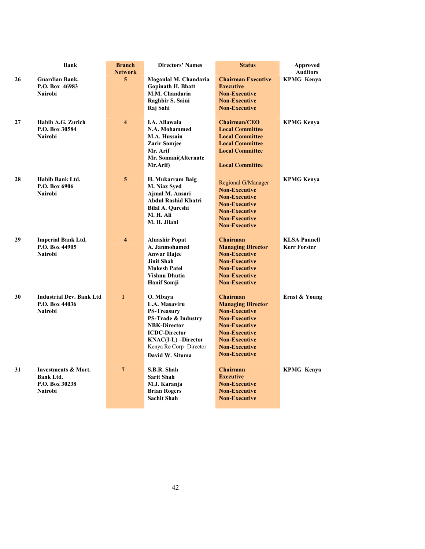|    | <b>Bank</b>                      | <b>Branch</b>           | <b>Directors' Names</b>                   | <b>Status</b>                                    | Approved            |
|----|----------------------------------|-------------------------|-------------------------------------------|--------------------------------------------------|---------------------|
|    |                                  | <b>Network</b>          |                                           |                                                  | <b>Auditors</b>     |
| 26 | <b>Guardian Bank.</b>            | 5                       | Moganlal M. Chandaria                     | <b>Chairman Executive</b>                        | <b>KPMG Kenya</b>   |
|    | P.O. Box 46983                   |                         | <b>Gopinath H. Bhatt</b>                  | <b>Executive</b>                                 |                     |
|    | <b>Nairobi</b>                   |                         | M.M. Chandaria                            | <b>Non-Executive</b>                             |                     |
|    |                                  |                         | Raghbir S. Saini                          | <b>Non-Executive</b>                             |                     |
|    |                                  |                         | Raj Sahi                                  | <b>Non-Executive</b>                             |                     |
|    |                                  |                         |                                           |                                                  |                     |
| 27 | Habib A.G. Zurich                | $\overline{\mathbf{4}}$ | <b>I.A. Allawala</b><br>N.A. Mohammed     | <b>Chairman/CEO</b>                              | <b>KPMG Kenya</b>   |
|    | P.O. Box 30584<br><b>Nairobi</b> |                         | <b>M.A. Hussain</b>                       | <b>Local Committee</b><br><b>Local Committee</b> |                     |
|    |                                  |                         | <b>Zarir Somjee</b>                       | <b>Local Committee</b>                           |                     |
|    |                                  |                         | Mr. Arif                                  | <b>Local Committee</b>                           |                     |
|    |                                  |                         | Mr. Somani(Alternate                      |                                                  |                     |
|    |                                  |                         | Mr.Arif)                                  | <b>Local Committee</b>                           |                     |
|    |                                  |                         |                                           |                                                  |                     |
| 28 | Habib Bank Ltd.                  | 5                       | H. Mukarram Baig                          |                                                  | <b>KPMG Kenya</b>   |
|    | P.O. Box 6906                    |                         | M. Niaz Syed                              | Regional G/Manager                               |                     |
|    | <b>Nairobi</b>                   |                         | Ajmal M. Ansari                           | <b>Non-Executive</b>                             |                     |
|    |                                  |                         | <b>Abdul Rashid Khatri</b>                | <b>Non-Executive</b>                             |                     |
|    |                                  |                         | <b>Bilal A. Qureshi</b>                   | <b>Non-Executive</b>                             |                     |
|    |                                  |                         | M. H. Ali                                 | <b>Non-Executive</b>                             |                     |
|    |                                  |                         | M. H. Jilani                              | <b>Non-Executive</b>                             |                     |
|    |                                  |                         |                                           | <b>Non-Executive</b>                             |                     |
| 29 | <b>Imperial Bank Ltd.</b>        | $\overline{\mathbf{4}}$ | <b>Alnashir Popat</b>                     | <b>Chairman</b>                                  | <b>KLSA Pannell</b> |
|    | P.O. Box 44905                   |                         | A. Janmohamed                             | <b>Managing Director</b>                         | <b>Kerr Forster</b> |
|    | <b>Nairobi</b>                   |                         | <b>Anwar Hajee</b>                        | <b>Non-Executive</b>                             |                     |
|    |                                  |                         | <b>Jinit Shah</b>                         | <b>Non-Executive</b>                             |                     |
|    |                                  |                         | <b>Mukesh Patel</b>                       | <b>Non-Executive</b>                             |                     |
|    |                                  |                         | <b>Vishnu Dhutia</b>                      | <b>Non-Executive</b>                             |                     |
|    |                                  |                         | <b>Hanif Somji</b>                        | <b>Non-Executive</b>                             |                     |
|    |                                  |                         |                                           |                                                  |                     |
| 30 | <b>Industrial Dev. Bank Ltd</b>  | $\mathbf{1}$            | O. Mbaya                                  | <b>Chairman</b>                                  | Ernst & Young       |
|    | P.O. Box 44036                   |                         | L.A. Masaviru                             | <b>Managing Director</b>                         |                     |
|    | <b>Nairobi</b>                   |                         | <b>PS-Treasury</b>                        | <b>Non-Executive</b>                             |                     |
|    |                                  |                         | PS-Trade & Industry                       | <b>Non-Executive</b>                             |                     |
|    |                                  |                         | <b>NBK-Director</b>                       | <b>Non-Executive</b>                             |                     |
|    |                                  |                         | <b>ICDC-Director</b>                      | <b>Non-Executive</b>                             |                     |
|    |                                  |                         | KNAC(I-L)-Director                        | <b>Non-Executive</b>                             |                     |
|    |                                  |                         | Kenya Re Corp-Director                    | <b>Non-Executive</b>                             |                     |
|    |                                  |                         | David W. Situma                           | <b>Non-Executive</b>                             |                     |
|    |                                  |                         |                                           |                                                  |                     |
| 31 | Investments & Mort.              | $\overline{7}$          | S.B.R. Shah                               | Chairman                                         | <b>KPMG Kenya</b>   |
|    | Bank Ltd.                        |                         | <b>Sarit Shah</b>                         | <b>Executive</b>                                 |                     |
|    | P.O. Box 30238<br><b>Nairobi</b> |                         | M.J. Karanja                              | <b>Non-Executive</b><br><b>Non-Executive</b>     |                     |
|    |                                  |                         | <b>Brian Rogers</b><br><b>Sachit Shah</b> | <b>Non-Executive</b>                             |                     |
|    |                                  |                         |                                           |                                                  |                     |
|    |                                  |                         |                                           |                                                  |                     |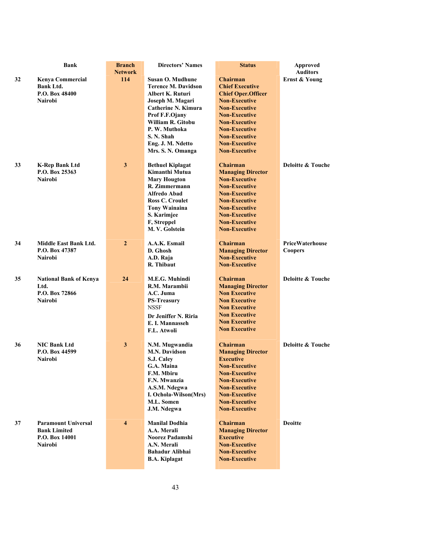|    | <b>Bank</b>                   | <b>Branch</b>           | <b>Directors' Names</b>                | <b>Status</b>                                | <b>Approved</b>              |
|----|-------------------------------|-------------------------|----------------------------------------|----------------------------------------------|------------------------------|
|    |                               | <b>Network</b>          |                                        |                                              | <b>Auditors</b>              |
| 32 | <b>Kenya Commercial</b>       | 114                     | <b>Susan O. Mudhune</b>                | <b>Chairman</b>                              | Ernst & Young                |
|    | <b>Bank Ltd.</b>              |                         | <b>Terence M. Davidson</b>             | <b>Chief Executive</b>                       |                              |
|    | P.O. Box 48400                |                         | <b>Albert K. Ruturi</b>                | <b>Chief Oper.Officer</b>                    |                              |
|    | <b>Nairobi</b>                |                         | Joseph M. Magari                       | <b>Non-Executive</b>                         |                              |
|    |                               |                         | <b>Catherine N. Kimura</b>             | <b>Non-Executive</b>                         |                              |
|    |                               |                         | Prof F.F.Ojany                         | <b>Non-Executive</b>                         |                              |
|    |                               |                         | William R. Gitobu                      | <b>Non-Executive</b>                         |                              |
|    |                               |                         | P. W. Muthoka                          | <b>Non-Executive</b>                         |                              |
|    |                               |                         | S. N. Shah                             | <b>Non-Executive</b>                         |                              |
|    |                               |                         | Eng. J. M. Ndetto                      | <b>Non-Executive</b>                         |                              |
|    |                               |                         | Mrs. S. N. Omanga                      | <b>Non-Executive</b>                         |                              |
|    |                               |                         |                                        |                                              |                              |
| 33 | <b>K-Rep Bank Ltd</b>         | 3                       | <b>Bethuel Kiplagat</b>                | <b>Chairman</b>                              | Deloitte & Touche            |
|    | P.O. Box 25363                |                         | Kimanthi Mutua                         | <b>Managing Director</b>                     |                              |
|    | <b>Nairobi</b>                |                         | <b>Mary Hougton</b>                    | <b>Non-Executive</b>                         |                              |
|    |                               |                         | R. Zimmermann                          | <b>Non-Executive</b>                         |                              |
|    |                               |                         | <b>Alfredo Abad</b>                    | <b>Non-Executive</b>                         |                              |
|    |                               |                         | <b>Ross C. Croulet</b>                 | <b>Non-Executive</b>                         |                              |
|    |                               |                         | <b>Tony Wainaina</b>                   | <b>Non-Executive</b>                         |                              |
|    |                               |                         | S. Karimjee                            | <b>Non-Executive</b>                         |                              |
|    |                               |                         | F, Streppel                            | <b>Non-Executive</b>                         |                              |
|    |                               |                         | M. V. Golstein                         | <b>Non-Executive</b>                         |                              |
|    |                               |                         |                                        |                                              |                              |
| 34 | <b>Middle East Bank Ltd.</b>  | $\overline{2}$          | A.A.K. Esmail                          | <b>Chairman</b>                              | <b>PriceWaterhouse</b>       |
|    | P.O. Box 47387                |                         | D. Ghosh                               | <b>Managing Director</b>                     | <b>Coopers</b>               |
|    | Nairobi                       |                         | A.D. Raja                              | <b>Non-Executive</b>                         |                              |
|    |                               |                         | R. Thibaut                             | <b>Non-Executive</b>                         |                              |
|    |                               |                         |                                        |                                              |                              |
| 35 | <b>National Bank of Kenya</b> | 24                      | M.E.G. Muhindi                         | <b>Chairman</b>                              | Deloitte & Touche            |
|    | Ltd.                          |                         | R.M. Marambii                          | <b>Managing Director</b>                     |                              |
|    | P.O. Box 72866                |                         | A.C. Juma                              | <b>Non Executive</b>                         |                              |
|    | <b>Nairobi</b>                |                         | <b>PS-Treasury</b>                     | <b>Non Executive</b>                         |                              |
|    |                               |                         | <b>NSSF</b>                            | <b>Non Executive</b>                         |                              |
|    |                               |                         |                                        | <b>Non Executive</b>                         |                              |
|    |                               |                         | Dr Jeniffer N. Riria                   | <b>Non Executive</b>                         |                              |
|    |                               |                         | E. I. Mannasseh                        | <b>Non Executive</b>                         |                              |
|    |                               |                         | F.L. Atwoli                            |                                              |                              |
| 36 | <b>NIC Bank Ltd</b>           | 3                       |                                        | <b>Chairman</b>                              | <b>Deloitte &amp; Touche</b> |
|    | P.O. Box 44599                |                         | N.M. Mugwandia<br><b>M.N. Davidson</b> | <b>Managing Director</b>                     |                              |
|    | <b>Nairobi</b>                |                         |                                        | <b>Executive</b>                             |                              |
|    |                               |                         | S.J. Caley<br>G.A. Maina               | <b>Non-Executive</b>                         |                              |
|    |                               |                         |                                        |                                              |                              |
|    |                               |                         | F.M. Mbiru                             | <b>Non-Executive</b>                         |                              |
|    |                               |                         | F.N. Mwanzia                           | <b>Non-Executive</b>                         |                              |
|    |                               |                         | A.S.M. Ndegwa                          | <b>Non-Executive</b><br><b>Non-Executive</b> |                              |
|    |                               |                         | I. Ochola-Wilson(Mrs)                  |                                              |                              |
|    |                               |                         | M.L. Somen                             | <b>Non-Executive</b>                         |                              |
|    |                               |                         | J.M. Ndegwa                            | <b>Non-Executive</b>                         |                              |
| 37 | <b>Paramount Universal</b>    | $\overline{\mathbf{4}}$ | <b>Manilal Dodhia</b>                  | <b>Chairman</b>                              | <b>Deoitte</b>               |
|    | <b>Bank Limited</b>           |                         | A.A. Merali                            | <b>Managing Director</b>                     |                              |
|    | P.O. Box 14001                |                         | Noorez Padamshi                        | <b>Executive</b>                             |                              |
|    | <b>Nairobi</b>                |                         | A.N. Merali                            | <b>Non-Executive</b>                         |                              |
|    |                               |                         | <b>Bahadur Alibhai</b>                 | <b>Non-Executive</b>                         |                              |
|    |                               |                         | <b>B.A. Kiplagat</b>                   | <b>Non-Executive</b>                         |                              |
|    |                               |                         |                                        |                                              |                              |
|    |                               |                         |                                        |                                              |                              |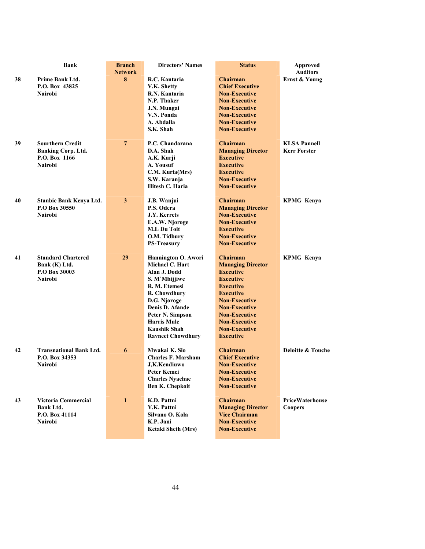|    | <b>Bank</b>                    | <b>Branch</b><br><b>Network</b> | <b>Directors' Names</b>            | <b>Status</b>                                | <b>Approved</b><br><b>Auditors</b> |
|----|--------------------------------|---------------------------------|------------------------------------|----------------------------------------------|------------------------------------|
| 38 | <b>Prime Bank Ltd.</b>         | 8                               | R.C. Kantaria                      | <b>Chairman</b>                              | Ernst & Young                      |
|    | P.O. Box 43825                 |                                 | V.K. Shetty                        | <b>Chief Executive</b>                       |                                    |
|    | <b>Nairobi</b>                 |                                 | R.N. Kantaria                      | <b>Non-Executive</b>                         |                                    |
|    |                                |                                 | N.P. Thaker                        | <b>Non-Executive</b>                         |                                    |
|    |                                |                                 | J.N. Mungai                        | <b>Non-Executive</b>                         |                                    |
|    |                                |                                 | V.N. Ponda                         | <b>Non-Executive</b>                         |                                    |
|    |                                |                                 | A. Abdalla                         | <b>Non-Executive</b>                         |                                    |
|    |                                |                                 | S.K. Shah                          | <b>Non-Executive</b>                         |                                    |
|    |                                |                                 |                                    |                                              |                                    |
| 39 | <b>Sourthern Credit</b>        | $\overline{7}$                  | P.C. Chandarana                    | <b>Chairman</b>                              | <b>KLSA Pannell</b>                |
|    | <b>Banking Corp. Ltd.</b>      |                                 | D.A. Shah                          | <b>Managing Director</b>                     | <b>Kerr Forster</b>                |
|    | P.O. Box 1166                  |                                 | A.K. Kurji                         | <b>Executive</b>                             |                                    |
|    | <b>Nairobi</b>                 |                                 | A. Yousuf                          | <b>Executive</b>                             |                                    |
|    |                                |                                 | C.M. Kuria(Mrs)                    | <b>Executive</b>                             |                                    |
|    |                                |                                 | S.W. Karanja                       | <b>Non-Executive</b>                         |                                    |
|    |                                |                                 | Hitesh C. Haria                    | <b>Non-Executive</b>                         |                                    |
|    |                                |                                 |                                    |                                              |                                    |
| 40 | Stanbic Bank Kenya Ltd.        | $\mathbf{3}$                    | J.B. Wanjui                        | <b>Chairman</b>                              | <b>KPMG Kenya</b>                  |
|    | P.O Box 30550                  |                                 | P.S. Odera                         | <b>Managing Director</b>                     |                                    |
|    | <b>Nairobi</b>                 |                                 | J.Y. Kerrets                       | <b>Non-Executive</b>                         |                                    |
|    |                                |                                 | E.A.W. Njoroge                     | <b>Non-Executive</b>                         |                                    |
|    |                                |                                 | <b>M.L Du Toit</b>                 | <b>Executive</b>                             |                                    |
|    |                                |                                 |                                    | <b>Non-Executive</b>                         |                                    |
|    |                                |                                 | O.M. Tidbury<br><b>PS-Treasurv</b> | <b>Non-Executive</b>                         |                                    |
|    |                                |                                 |                                    |                                              |                                    |
| 41 | <b>Standard Chartered</b>      | 29                              | Hannington O. Awori                | <b>Chairman</b>                              | <b>KPMG Kenya</b>                  |
|    | Bank (K) Ltd.                  |                                 | Michael C. Hart                    | <b>Managing Director</b>                     |                                    |
|    | P.O Box 30003                  |                                 | Alan J. Dodd                       | <b>Executive</b>                             |                                    |
|    | <b>Nairobi</b>                 |                                 | S. M'Mbijjiwe                      | <b>Executive</b>                             |                                    |
|    |                                |                                 | R. M. Etemesi                      | <b>Executive</b>                             |                                    |
|    |                                |                                 | R. Chowdhury                       | <b>Executive</b>                             |                                    |
|    |                                |                                 |                                    | <b>Non-Executive</b>                         |                                    |
|    |                                |                                 | D.G. Njoroge<br>Denis D. Afande    |                                              |                                    |
|    |                                |                                 |                                    | <b>Non-Executive</b>                         |                                    |
|    |                                |                                 | Peter N. Simpson                   | <b>Non-Executive</b>                         |                                    |
|    |                                |                                 | <b>Harris Mule</b>                 | <b>Non-Executive</b>                         |                                    |
|    |                                |                                 | <b>Kaushik Shah</b>                | <b>Non-Executive</b>                         |                                    |
|    |                                |                                 | <b>Ravneet Chowdhury</b>           | <b>Executive</b>                             |                                    |
| 42 | <b>Transnational Bank Ltd.</b> | 6                               | Mwakai K. Sio                      | <b>Chairman</b>                              | <b>Deloitte &amp; Touche</b>       |
|    | P.O. Box 34353                 |                                 | <b>Charles F. Marsham</b>          | <b>Chief Executive</b>                       |                                    |
|    | <b>Nairobi</b>                 |                                 | J,K.Kendiuwo                       | <b>Non-Executive</b>                         |                                    |
|    |                                |                                 | Peter Kemei                        | <b>Non-Executive</b>                         |                                    |
|    |                                |                                 | <b>Charles Nyachae</b>             |                                              |                                    |
|    |                                |                                 |                                    | <b>Non-Executive</b><br><b>Non-Executive</b> |                                    |
|    |                                |                                 | <b>Ben K. Chepkoit</b>             |                                              |                                    |
| 43 | Victoria Commercial            | $\mathbf{1}$                    | K.D. Pattni                        | <b>Chairman</b>                              | PriceWaterhouse                    |
|    | <b>Bank Ltd.</b>               |                                 | Y.K. Pattni                        | <b>Managing Director</b>                     | <b>Coopers</b>                     |
|    | P.O. Box 41114                 |                                 | Silvano O. Kola                    | <b>Vice Chairman</b>                         |                                    |
|    | <b>Nairobi</b>                 |                                 | K.P. Jani                          | <b>Non-Executive</b>                         |                                    |
|    |                                |                                 | Ketaki Sheth (Mrs)                 | <b>Non-Executive</b>                         |                                    |
|    |                                |                                 |                                    |                                              |                                    |
|    |                                |                                 |                                    |                                              |                                    |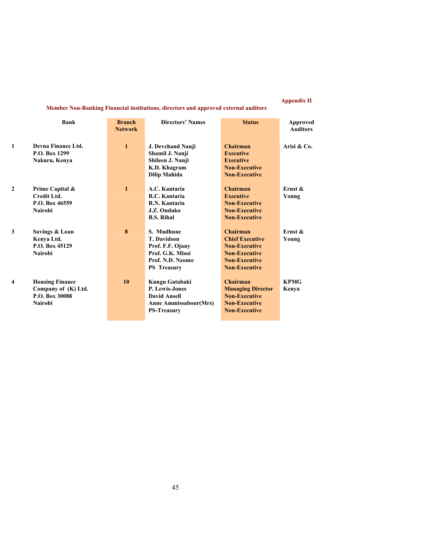## **Appendix II**

**Member Non-Banking Financial institutions, directors and approved external auditors** 

|                         | Bank                                                                              | <b>Branch</b><br><b>Network</b> | <b>Directors' Names</b>                                                                                              | <b>Status</b>                                                                                                                      | Approved<br><b>Auditors</b> |
|-------------------------|-----------------------------------------------------------------------------------|---------------------------------|----------------------------------------------------------------------------------------------------------------------|------------------------------------------------------------------------------------------------------------------------------------|-----------------------------|
| 1                       | Devna Finance Ltd.<br>P.O. Box 1299<br>Nakuru, Kenya                              | $\mathbf{1}$                    | J. Devchand Nanji<br>Shamil J. Nanji<br>Shileen J. Nanji<br>K.D. Khagram<br>Dilip Mahida                             | <b>Chairman</b><br><b>Executive</b><br><b>Executive</b><br><b>Non-Executive</b><br><b>Non-Executive</b>                            | Arisi & Co.                 |
| $\mathbf{2}$            | Prime Capital &<br>Credit Ltd.<br>P.O. Box 46559<br><b>Nairobi</b>                | $\mathbf{1}$                    | A.C. Kantaria<br>R.C. Kantaria<br>R.N. Kantaria<br>J.Z. Onduko<br><b>B.S. Rihal</b>                                  | Chairman<br><b>Executive</b><br><b>Non-Executive</b><br><b>Non-Executive</b><br><b>Non-Executive</b>                               | Ernst $\&$<br>Young         |
| 3                       | Savings & Loan<br>Kenya Ltd.<br>P.O. Box 45129<br><b>Nairobi</b>                  | 8                               | S. Mudhune<br><b>T.</b> Davidson<br>Prof. F.F. Ojany<br>Prof. G.K. Misoi<br>Prof. N.D. Nzomo<br><b>PS</b> Treasury   | Chairman<br><b>Chief Executive</b><br><b>Non-Executive</b><br><b>Non-Executive</b><br><b>Non-Executive</b><br><b>Non-Executive</b> | Ernst $\&$<br>Young         |
| $\overline{\mathbf{4}}$ | <b>Housing Finance</b><br>Company of (K) Ltd.<br>P.O. Box 30088<br><b>Nairobi</b> | 10                              | Kungu Gatabaki<br><b>P. Lewis-Jones</b><br><b>David Ansell</b><br><b>Anne Ammissabour(Mrs)</b><br><b>PS-Treasury</b> | Chairman<br><b>Managing Director</b><br><b>Non-Executive</b><br><b>Non-Executive</b><br><b>Non-Executive</b>                       | <b>KPMG</b><br>Kenya        |